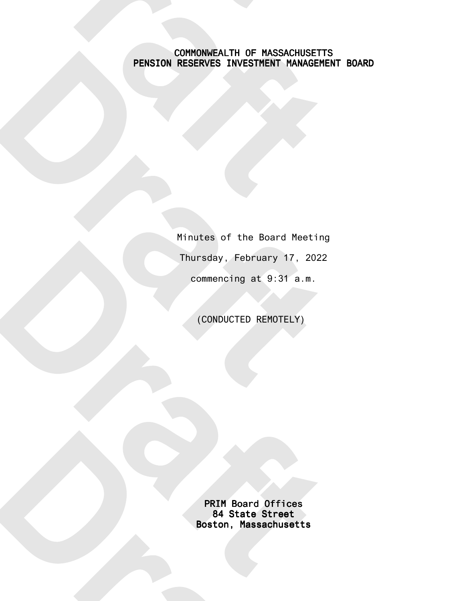## COMMONWEALTH OF MASSACHUSETTS PENSION RESERVES INVESTMENT MANAGEMENT BOARD

Minutes of the Board Meeting Thursday, February 17, 2022 commencing at 9:31 a.m.

(CONDUCTED REMOTELY)

PRIM Board Offices 84 State Street Boston, Massachusetts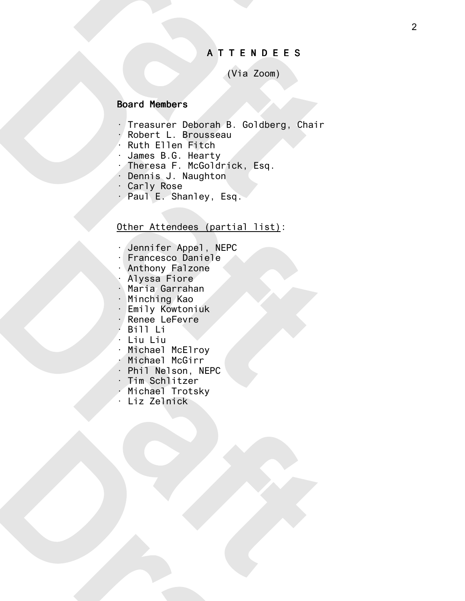#### A T T E N D E E S

# (Via Zoom)

#### Board Members

- · Treasurer Deborah B. Goldberg, Chair
- · Robert L. Brousseau
- Ruth Ellen Fitch
- James B.G. Hearty
- · Theresa F. McGoldrick, Esq.
- · Dennis J. Naughton
- · Carly Rose
- · Paul E. Shanley, Esq.

## Other Attendees (partial list):

- · Jennifer Appel, NEPC
- · Francesco Daniele
- · Anthony Falzone
- · Alyssa Fiore
- · Maria Garrahan
- · Minching Kao
- · Emily Kowtoniuk
- · Renee LeFevre
- · Bill Li
- · Liu Liu
- · Michael McElroy
- · Michael McGirr
- · Phil Nelson, NEPC
- · Tim Schlitzer
- · Michael Trotsky
- · Liz Zelnick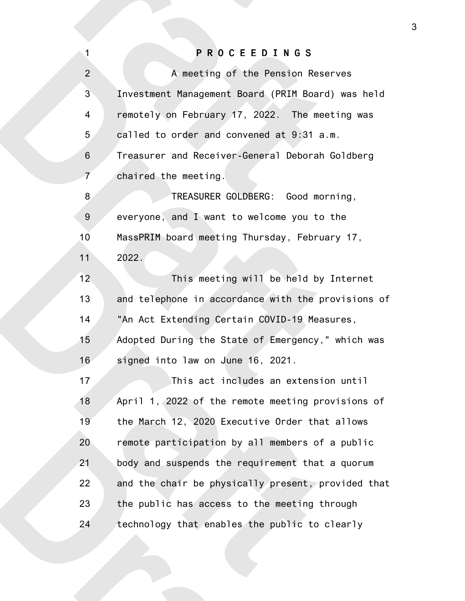# P R O C E E D I N G S

1

| $\overline{2}$ | A meeting of the Pension Reserves                  |
|----------------|----------------------------------------------------|
| 3              | Investment Management Board (PRIM Board) was held  |
| 4              | remotely on February 17, 2022. The meeting was     |
| 5              | called to order and convened at 9:31 a.m.          |
| $\,$ 6 $\,$    | Treasurer and Receiver-General Deborah Goldberg    |
| $\overline{7}$ | chaired the meeting.                               |
| 8              | TREASURER GOLDBERG: Good morning,                  |
| $9\,$          | everyone, and I want to welcome you to the         |
| 10             | MassPRIM board meeting Thursday, February 17,      |
| 11             | 2022.                                              |
| 12             | This meeting will be held by Internet              |
| 13             | and telephone in accordance with the provisions of |
| 14             | "An Act Extending Certain COVID-19 Measures,       |
| 15             | Adopted During the State of Emergency," which was  |
| 16             | signed into law on June 16, 2021.                  |
| 17             | This act includes an extension until               |
| 18             | April 1, 2022 of the remote meeting provisions of  |
| 19             | the March 12, 2020 Executive Order that allows     |
| 20             | remote participation by all members of a public    |
| 21             | body and suspends the requirement that a quorum    |
| 22             | and the chair be physically present, provided that |
| 23             | the public has access to the meeting through       |
| 24             | technology that enables the public to clearly      |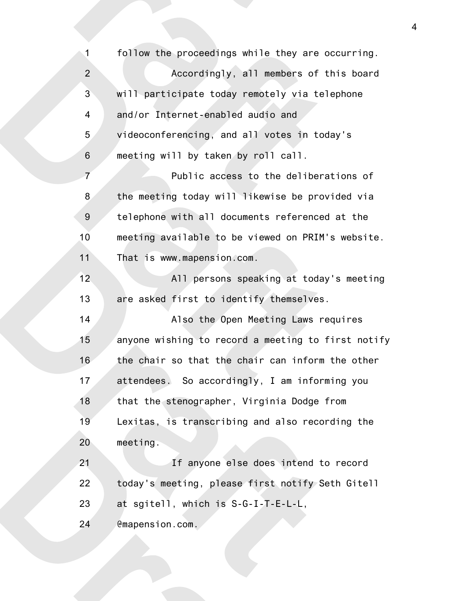follow the proceedings while they are occurring. Accordingly, all members of this board will participate today remotely via telephone and/or Internet-enabled audio and videoconferencing, and all votes in today's meeting will by taken by roll call. Public access to the deliberations of the meeting today will likewise be provided via telephone with all documents referenced at the meeting available to be viewed on PRIM's website. That is www.mapension.com. All persons speaking at today's meeting are asked first to identify themselves. Also the Open Meeting Laws requires anyone wishing to record a meeting to first notify the chair so that the chair can inform the other attendees. So accordingly, I am informing you that the stenographer, Virginia Dodge from Lexitas, is transcribing and also recording the meeting. If anyone else does intend to record today's meeting, please first notify Seth Gitell at sgitell, which is S-G-I-T-E-L-L, @mapension.com. 1 2 3 4 5 6 7 8 9 10 11 12 13 14 15 16 17 18 19 20 21 22 23 24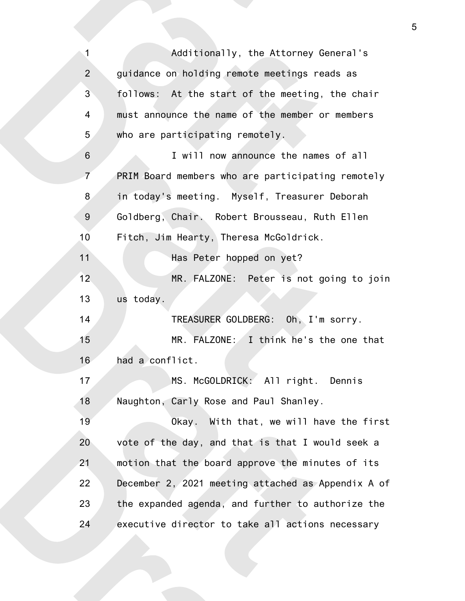Additionally, the Attorney General's guidance on holding remote meetings reads as follows: At the start of the meeting, the chair must announce the name of the member or members who are participating remotely. I will now announce the names of all PRIM Board members who are participating remotely in today's meeting. Myself, Treasurer Deborah Goldberg, Chair. Robert Brousseau, Ruth Ellen Fitch, Jim Hearty, Theresa McGoldrick. Has Peter hopped on yet? MR. FALZONE: Peter is not going to join us today. TREASURER GOLDBERG: Oh, I'm sorry. MR. FALZONE: I think he's the one that had a conflict. MS. McGOLDRICK: All right. Dennis Naughton, Carly Rose and Paul Shanley. Okay. With that, we will have the first vote of the day, and that is that I would seek a motion that the board approve the minutes of its December 2, 2021 meeting attached as Appendix A of the expanded agenda, and further to authorize the executive director to take all actions necessary 1 2 3 4 5 6 7 8 9 10 11 12 13 14 15 16 17 18 19 20 21 22 23 24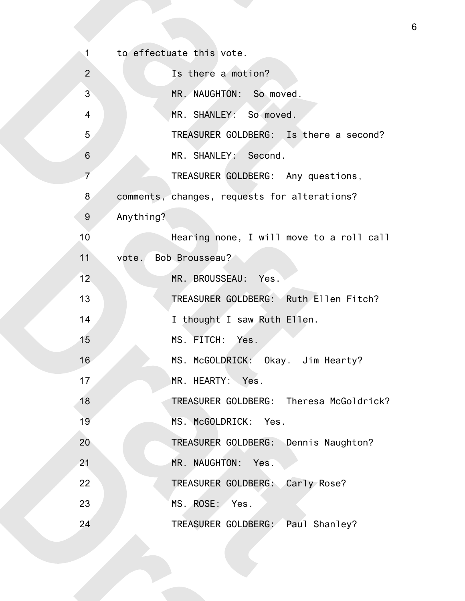| 1               | to effectuate this vote.                     |
|-----------------|----------------------------------------------|
| $\overline{2}$  | Is there a motion?                           |
| $\mathbf{3}$    | MR. NAUGHTON: So moved.                      |
| $\overline{4}$  | MR. SHANLEY: So moved.                       |
| 5               | TREASURER GOLDBERG: Is there a second?       |
| $6\phantom{1}6$ | MR. SHANLEY: Second.                         |
| $\overline{7}$  | TREASURER GOLDBERG: Any questions,           |
| 8               | comments, changes, requests for alterations? |
| 9               | Anything?                                    |
| 10              | Hearing none, I will move to a roll call     |
| 11              | Bob Brousseau?<br>vote.                      |
| 12              | MR. BROUSSEAU: Yes.                          |
| 13              | TREASURER GOLDBERG: Ruth Ellen Fitch?        |
| 14              | I thought I saw Ruth Ellen.                  |
| 15              | MS. FITCH: Yes.                              |
| 16              | MS. McGOLDRICK: Okay. Jim Hearty?            |
| 17              | MR. HEARTY: Yes                              |
| 18              | TREASURER GOLDBERG: Theresa McGoldrick?      |
| 19              | MS. McGOLDRICK: Yes.                         |
| 20              | TREASURER GOLDBERG: Dennis Naughton?         |
| 21              | MR. NAUGHTON: Yes.                           |
| 22              | TREASURER GOLDBERG: Carly Rose?              |
| 23              | MS. ROSE: Yes.                               |
| 24              | TREASURER GOLDBERG: Paul Shanley?            |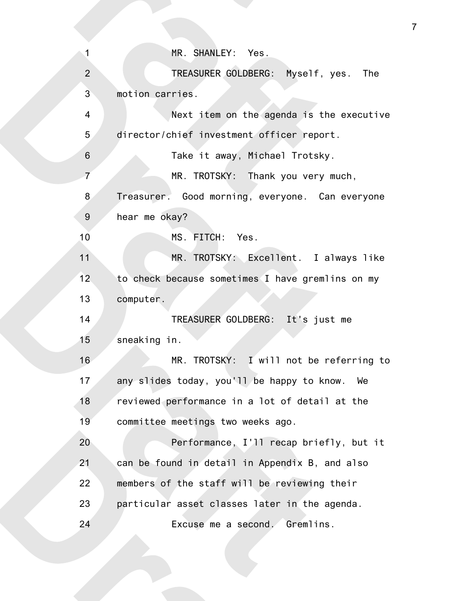| $\overline{1}$ | MR. SHANLEY: Yes.                                |
|----------------|--------------------------------------------------|
| $\overline{2}$ | TREASURER GOLDBERG: Myself, yes. The             |
| 3              | motion carries.                                  |
| 4              | Next item on the agenda is the executive         |
| 5              | director/chief investment officer report.        |
| $\,$ 6 $\,$    | Take it away, Michael Trotsky.                   |
| $\overline{7}$ | MR. TROTSKY: Thank you very much,                |
| 8              | Treasurer. Good morning, everyone. Can everyone  |
| $9\,$          | hear me okay?                                    |
| 10             | MS. FITCH: Yes.                                  |
| 11             | MR. TROTSKY: Excellent. I always like            |
| 12             | to check because sometimes I have gremlins on my |
| 13             | computer.                                        |
| 14             | TREASURER GOLDBERG: It's just me                 |
| 15             | sneaking in.                                     |
| 16             | MR. TROTSKY: I will not be referring to          |
| 17             | any slides today, you'll be happy to know.<br>We |
| 18             | reviewed performance in a lot of detail at the   |
| 19             | committee meetings two weeks ago.                |
| 20             | Performance, I'll recap briefly, but it          |
| 21             | can be found in detail in Appendix B, and also   |
| 22             | members of the staff will be reviewing their     |
| 23             | particular asset classes later in the agenda.    |
| 24             | Excuse me a second. Gremlins.                    |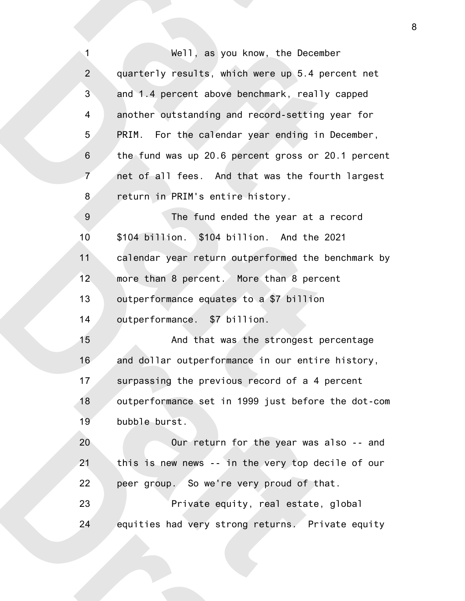Well, as you know, the December quarterly results, which were up 5.4 percent net and 1.4 percent above benchmark, really capped another outstanding and record-setting year for PRIM. For the calendar year ending in December, the fund was up 20.6 percent gross or 20.1 percent net of all fees. And that was the fourth largest return in PRIM's entire history. The fund ended the year at a record \$104 billion. \$104 billion. And the 2021 calendar year return outperformed the benchmark by more than 8 percent. More than 8 percent outperformance equates to a \$7 billion outperformance. \$7 billion. And that was the strongest percentage and dollar outperformance in our entire history, surpassing the previous record of a 4 percent outperformance set in 1999 just before the dot-com bubble burst. Our return for the year was also -- and this is new news -- in the very top decile of our peer group. So we're very proud of that. Private equity, real estate, global equities had very strong returns. Private equity 1 2 3 4 5 6 7 8 9 10 11 12 13 14 15 16 17 18 19 20 21 22 23 24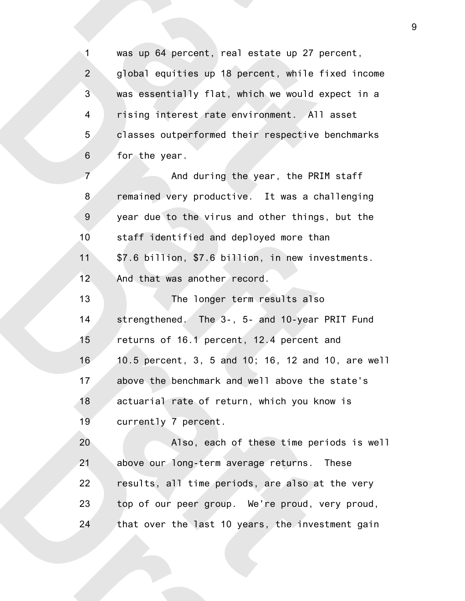was up 64 percent, real estate up 27 percent, global equities up 18 percent, while fixed income was essentially flat, which we would expect in a rising interest rate environment. All asset classes outperformed their respective benchmarks for the year. 1 2 3 4 5 6

And during the year, the PRIM staff remained very productive. It was a challenging year due to the virus and other things, but the staff identified and deployed more than \$7.6 billion, \$7.6 billion, in new investments. And that was another record. 7 8 9 10 11 12

The longer term results also strengthened. The 3-, 5- and 10-year PRIT Fund returns of 16.1 percent, 12.4 percent and 10.5 percent, 3, 5 and 10; 16, 12 and 10, are well above the benchmark and well above the state's actuarial rate of return, which you know is currently 7 percent. 13 14 15 16 17 18 19

Also, each of these time periods is well above our long-term average returns. These results, all time periods, are also at the very top of our peer group. We're proud, very proud, that over the last 10 years, the investment gain 20 21 22 23 24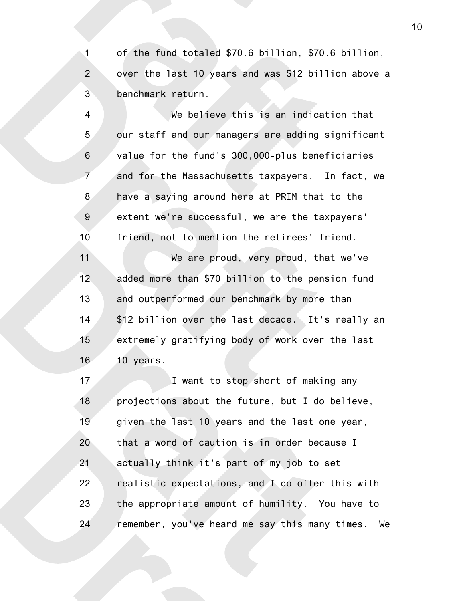of the fund totaled \$70.6 billion, \$70.6 billion, over the last 10 years and was \$12 billion above a benchmark return. 1 2 3

We believe this is an indication that our staff and our managers are adding significant value for the fund's 300,000-plus beneficiaries and for the Massachusetts taxpayers. In fact, we have a saying around here at PRIM that to the extent we're successful, we are the taxpayers' friend, not to mention the retirees' friend. We are proud, very proud, that we've added more than \$70 billion to the pension fund 4 5 6 7 8 9 10 11 12

and outperformed our benchmark by more than \$12 billion over the last decade. It's really an extremely gratifying body of work over the last 10 years. 13 14 15 16

I want to stop short of making any projections about the future, but I do believe, given the last 10 years and the last one year, that a word of caution is in order because I actually think it's part of my job to set realistic expectations, and I do offer this with the appropriate amount of humility. You have to remember, you've heard me say this many times. We 17 18 19 20 21 22 23 24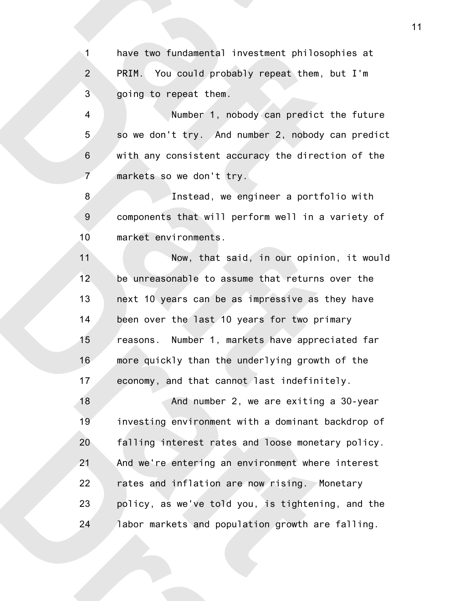have two fundamental investment philosophies at PRIM. You could probably repeat them, but I'm going to repeat them. 1 2 3

Number 1, nobody can predict the future so we don't try. And number 2, nobody can predict with any consistent accuracy the direction of the markets so we don't try. 4 5 6 7

Instead, we engineer a portfolio with components that will perform well in a variety of market environments. 8 9 10

Now, that said, in our opinion, it would be unreasonable to assume that returns over the next 10 years can be as impressive as they have been over the last 10 years for two primary reasons. Number 1, markets have appreciated far more quickly than the underlying growth of the economy, and that cannot last indefinitely. 11 12 13 14 15 16 17

And number 2, we are exiting a 30-year investing environment with a dominant backdrop of falling interest rates and loose monetary policy. And we're entering an environment where interest rates and inflation are now rising. Monetary policy, as we've told you, is tightening, and the labor markets and population growth are falling. 18 19 20 21 22 23 24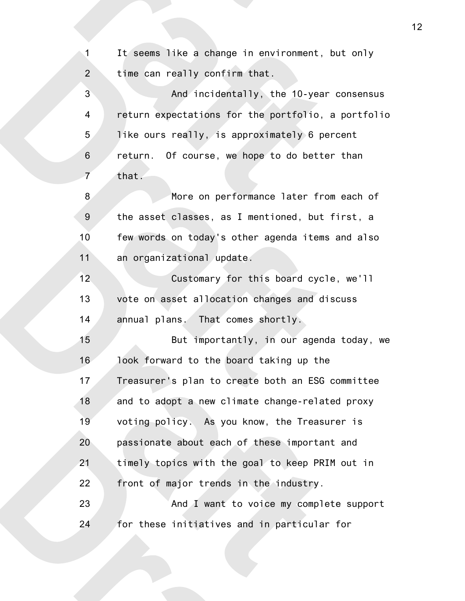It seems like a change in environment, but only time can really confirm that. And incidentally, the 10-year consensus 1 2 3

return expectations for the portfolio, a portfolio like ours really, is approximately 6 percent return. Of course, we hope to do better than that. 4 5 6 7

More on performance later from each of the asset classes, as I mentioned, but first, a few words on today's other agenda items and also an organizational update. 8 9 10 11

Customary for this board cycle, we'll vote on asset allocation changes and discuss annual plans. That comes shortly. 12 13 14

But importantly, in our agenda today, we look forward to the board taking up the Treasurer's plan to create both an ESG committee and to adopt a new climate change-related proxy voting policy. As you know, the Treasurer is passionate about each of these important and timely topics with the goal to keep PRIM out in front of major trends in the industry. 15 16 17 18 19 20 21 22

And I want to voice my complete support for these initiatives and in particular for 23 24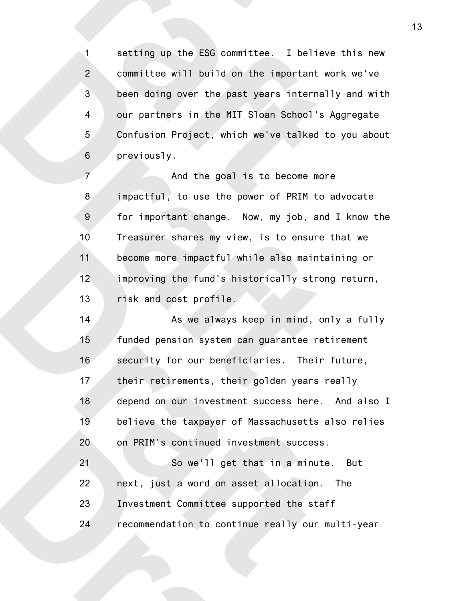setting up the ESG committee. I believe this new committee will build on the important work we've been doing over the past years internally and with our partners in the MIT Sloan School's Aggregate Confusion Project, which we've talked to you about previously. 1 2 3 4 5 6

And the goal is to become more impactful, to use the power of PRIM to advocate for important change. Now, my job, and I know the Treasurer shares my view, is to ensure that we become more impactful while also maintaining or improving the fund's historically strong return, risk and cost profile. 7 8 9 10 11 12 13

As we always keep in mind, only a fully funded pension system can guarantee retirement security for our beneficiaries. Their future, their retirements, their golden years really depend on our investment success here. And also I believe the taxpayer of Massachusetts also relies on PRIM's continued investment success. 14 15 16 17 18 19 20

So we'll get that in a minute. But next, just a word on asset allocation. The Investment Committee supported the staff recommendation to continue really our multi-year 21 22 23 24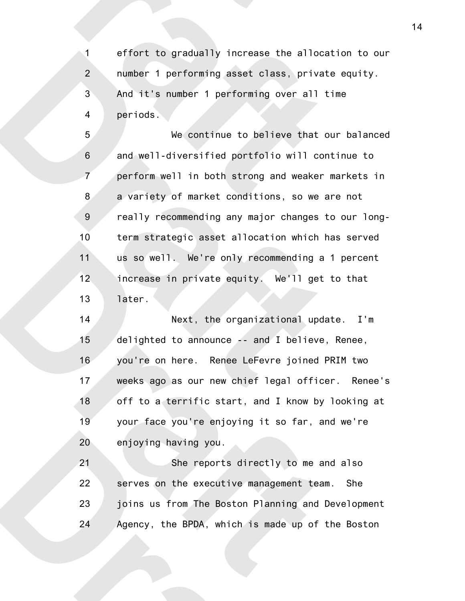effort to gradually increase the allocation to our number 1 performing asset class, private equity. And it's number 1 performing over all time periods. 1 2 3 4

We continue to believe that our balanced and well-diversified portfolio will continue to perform well in both strong and weaker markets in a variety of market conditions, so we are not really recommending any major changes to our longterm strategic asset allocation which has served us so well. We're only recommending a 1 percent increase in private equity. We'll get to that later. 5 6 7 8 9 10 11 12 13

Next, the organizational update. I'm delighted to announce -- and I believe, Renee, you're on here. Renee LeFevre joined PRIM two weeks ago as our new chief legal officer. Renee's off to a terrific start, and I know by looking at your face you're enjoying it so far, and we're enjoying having you. 14 15 16 17 18 19 20

She reports directly to me and also serves on the executive management team. She joins us from The Boston Planning and Development Agency, the BPDA, which is made up of the Boston 21 22 23 24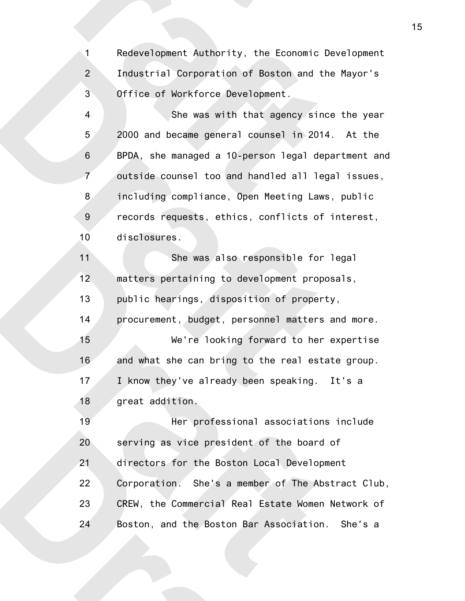Redevelopment Authority, the Economic Development Industrial Corporation of Boston and the Mayor's Office of Workforce Development. 1 2 3

She was with that agency since the year 2000 and became general counsel in 2014. At the BPDA, she managed a 10-person legal department and outside counsel too and handled all legal issues, including compliance, Open Meeting Laws, public records requests, ethics, conflicts of interest, disclosures. 4 5 6 7 8 9 10

She was also responsible for legal matters pertaining to development proposals, public hearings, disposition of property, procurement, budget, personnel matters and more. We're looking forward to her expertise and what she can bring to the real estate group. I know they've already been speaking. It's a great addition. 11 12 13 14 15 16 17 18

Her professional associations include serving as vice president of the board of directors for the Boston Local Development Corporation. She's a member of The Abstract Club, CREW, the Commercial Real Estate Women Network of Boston, and the Boston Bar Association. She's a 19 20 21 22 23 24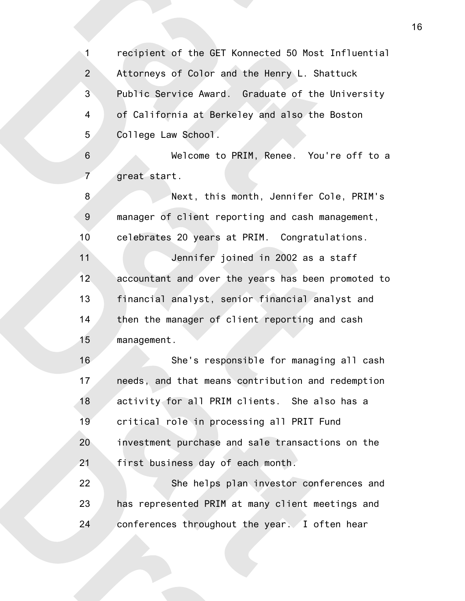recipient of the GET Konnected 50 Most Influential Attorneys of Color and the Henry L. Shattuck Public Service Award. Graduate of the University of California at Berkeley and also the Boston College Law School. Welcome to PRIM, Renee. You're off to a great start. Next, this month, Jennifer Cole, PRIM's manager of client reporting and cash management, celebrates 20 years at PRIM. Congratulations. Jennifer joined in 2002 as a staff accountant and over the years has been promoted to financial analyst, senior financial analyst and then the manager of client reporting and cash management. She's responsible for managing all cash needs, and that means contribution and redemption activity for all PRIM clients. She also has a critical role in processing all PRIT Fund investment purchase and sale transactions on the first business day of each month. She helps plan investor conferences and has represented PRIM at many client meetings and conferences throughout the year. I often hear 1 2 3 4 5 6 7 8 9 10 11 12 13 14 15 16 17 18 19 20 21 22 23 24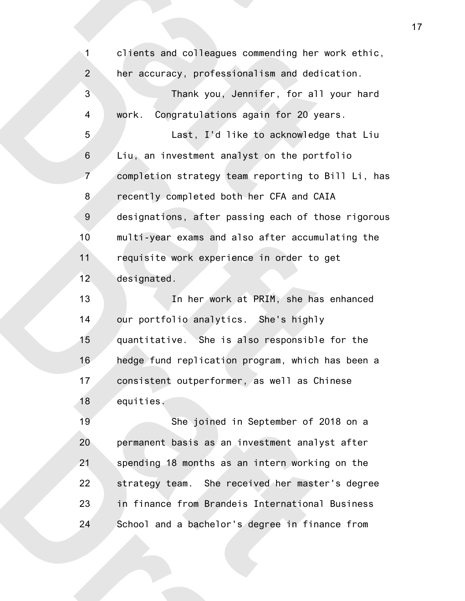clients and colleagues commending her work ethic, her accuracy, professionalism and dedication. Thank you, Jennifer, for all your hard work. Congratulations again for 20 years. Last, I'd like to acknowledge that Liu Liu, an investment analyst on the portfolio completion strategy team reporting to Bill Li, has recently completed both her CFA and CAIA designations, after passing each of those rigorous multi-year exams and also after accumulating the requisite work experience in order to get designated. In her work at PRIM, she has enhanced our portfolio analytics. She's highly quantitative. She is also responsible for the hedge fund replication program, which has been a consistent outperformer, as well as Chinese equities. She joined in September of 2018 on a permanent basis as an investment analyst after spending 18 months as an intern working on the 1 2 3 4 5 6 7 8 9 10 11 12 13 14 15 16 17 18 19 20 21

strategy team. She received her master's degree in finance from Brandeis International Business School and a bachelor's degree in finance from 22 23 24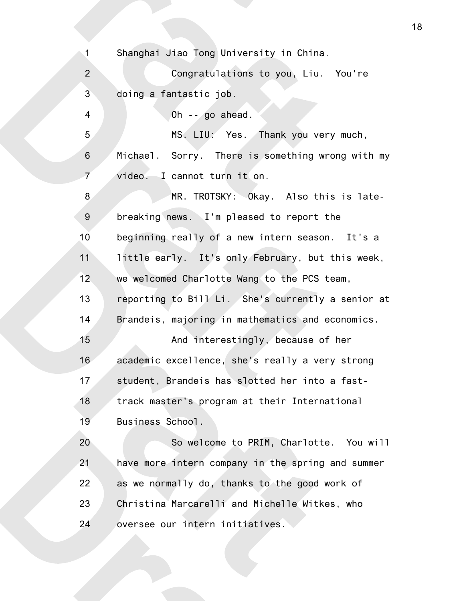Shanghai Jiao Tong University in China. Congratulations to you, Liu. You're doing a fantastic job. Oh -- go ahead. MS. LIU: Yes. Thank you very much, Michael. Sorry. There is something wrong with my video. I cannot turn it on. MR. TROTSKY: Okay. Also this is latebreaking news. I'm pleased to report the beginning really of a new intern season. It's a little early. It's only February, but this week, we welcomed Charlotte Wang to the PCS team, reporting to Bill Li. She's currently a senior at Brandeis, majoring in mathematics and economics. And interestingly, because of her academic excellence, she's really a very strong student, Brandeis has slotted her into a fasttrack master's program at their International Business School. So welcome to PRIM, Charlotte. You will have more intern company in the spring and summer as we normally do, thanks to the good work of Christina Marcarelli and Michelle Witkes, who oversee our intern initiatives. 1 2 3 4 5 6 7 8 9 10 11 12 13 14 15 16 17 18 19 20 21 22 23 24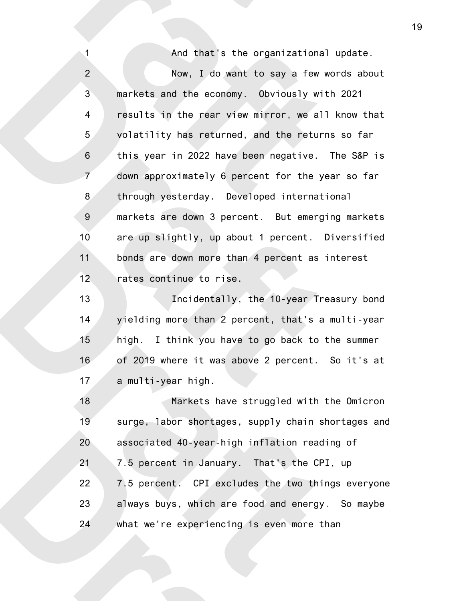And that's the organizational update. Now, I do want to say a few words about markets and the economy. Obviously with 2021 results in the rear view mirror, we all know that volatility has returned, and the returns so far this year in 2022 have been negative. The S&P is down approximately 6 percent for the year so far through yesterday. Developed international markets are down 3 percent. But emerging markets are up slightly, up about 1 percent. Diversified bonds are down more than 4 percent as interest rates continue to rise. 1 2 3 4 5 6 7 8 9 10 11 12

Incidentally, the 10-year Treasury bond yielding more than 2 percent, that's a multi-year high. I think you have to go back to the summer of 2019 where it was above 2 percent. So it's at a multi-year high. 13 14 15 16 17

Markets have struggled with the Omicron surge, labor shortages, supply chain shortages and associated 40-year-high inflation reading of 7.5 percent in January. That's the CPI, up 7.5 percent. CPI excludes the two things everyone always buys, which are food and energy. So maybe what we're experiencing is even more than 18 19 20 21 22 23 24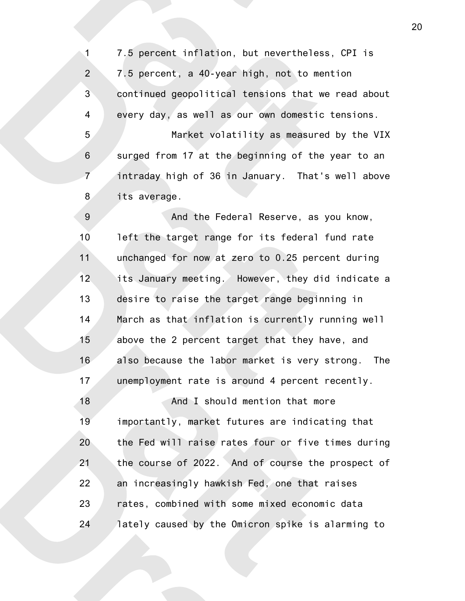7.5 percent inflation, but nevertheless, CPI is 7.5 percent, a 40-year high, not to mention continued geopolitical tensions that we read about every day, as well as our own domestic tensions. Market volatility as measured by the VIX surged from 17 at the beginning of the year to an intraday high of 36 in January. That's well above 1 2 3 4 5 6 7

its average. 8

And the Federal Reserve, as you know, left the target range for its federal fund rate unchanged for now at zero to 0.25 percent during its January meeting. However, they did indicate a desire to raise the target range beginning in March as that inflation is currently running well above the 2 percent target that they have, and also because the labor market is very strong. The unemployment rate is around 4 percent recently. 9 10 11 12 13 14 15 16 17

And I should mention that more importantly, market futures are indicating that the Fed will raise rates four or five times during the course of 2022. And of course the prospect of an increasingly hawkish Fed, one that raises rates, combined with some mixed economic data lately caused by the Omicron spike is alarming to 18 19 20 21 22 23 24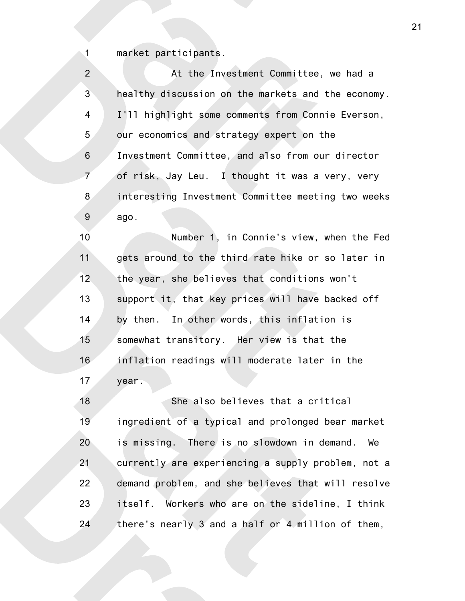market participants.

1

At the Investment Committee, we had a healthy discussion on the markets and the economy. I'll highlight some comments from Connie Everson, our economics and strategy expert on the Investment Committee, and also from our director of risk, Jay Leu. I thought it was a very, very interesting Investment Committee meeting two weeks ago. 2 3 4 5 6 7 8 9

Number 1, in Connie's view, when the Fed gets around to the third rate hike or so later in the year, she believes that conditions won't support it, that key prices will have backed off by then. In other words, this inflation is somewhat transitory. Her view is that the inflation readings will moderate later in the year. 10 11 12 13 14 15 16 17

She also believes that a critical ingredient of a typical and prolonged bear market is missing. There is no slowdown in demand. We currently are experiencing a supply problem, not a demand problem, and she believes that will resolve itself. Workers who are on the sideline, I think there's nearly 3 and a half or 4 million of them, 18 19 20 21 22 23 24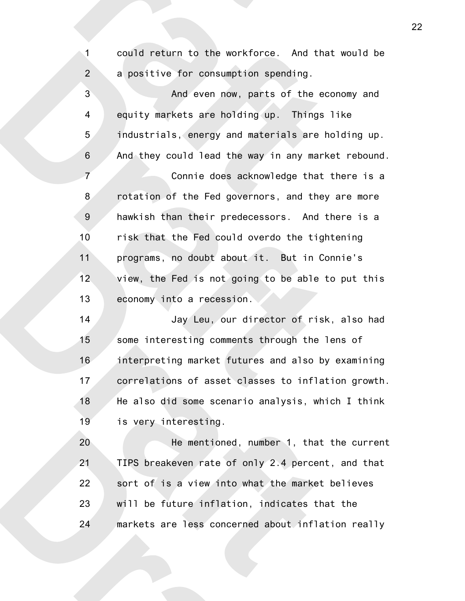could return to the workforce. And that would be a positive for consumption spending.

1

2

And even now, parts of the economy and equity markets are holding up. Things like industrials, energy and materials are holding up. And they could lead the way in any market rebound. Connie does acknowledge that there is a rotation of the Fed governors, and they are more hawkish than their predecessors. And there is a risk that the Fed could overdo the tightening programs, no doubt about it. But in Connie's view, the Fed is not going to be able to put this economy into a recession. 3 4 5 6 7 8 9 10 11 12 13

Jay Leu, our director of risk, also had some interesting comments through the lens of interpreting market futures and also by examining correlations of asset classes to inflation growth. He also did some scenario analysis, which I think is very interesting. 14 15 16 17 18 19

He mentioned, number 1, that the current TIPS breakeven rate of only 2.4 percent, and that sort of is a view into what the market believes will be future inflation, indicates that the markets are less concerned about inflation really 20 21 22 23 24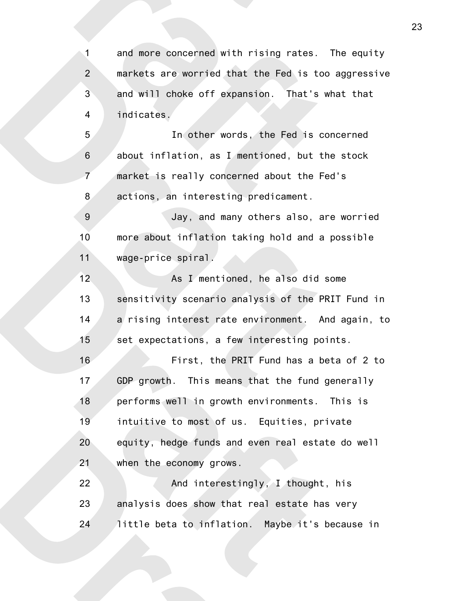and more concerned with rising rates. The equity markets are worried that the Fed is too aggressive and will choke off expansion. That's what that indicates. 1 2 3 4

In other words, the Fed is concerned about inflation, as I mentioned, but the stock market is really concerned about the Fed's actions, an interesting predicament. 5 6 7 8

Jay, and many others also, are worried more about inflation taking hold and a possible wage-price spiral. 9 10 11

As I mentioned, he also did some sensitivity scenario analysis of the PRIT Fund in a rising interest rate environment. And again, to set expectations, a few interesting points. 12 13 14 15

First, the PRIT Fund has a beta of 2 to GDP growth. This means that the fund generally performs well in growth environments. This is intuitive to most of us. Equities, private equity, hedge funds and even real estate do well when the economy grows. 16 17 18 19 20 21

And interestingly, I thought, his analysis does show that real estate has very little beta to inflation. Maybe it's because in 22 23 24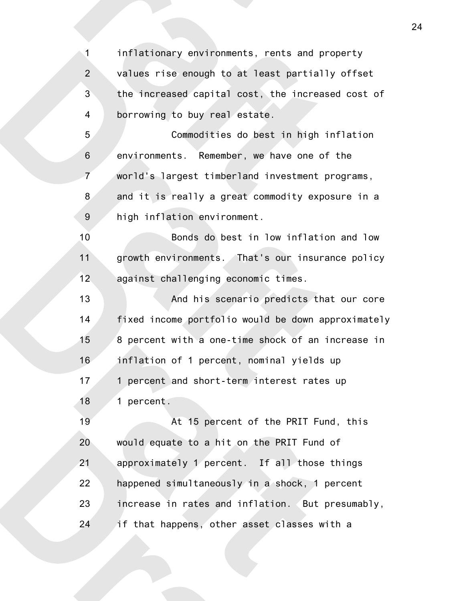inflationary environments, rents and property values rise enough to at least partially offset the increased capital cost, the increased cost of borrowing to buy real estate. 1 2 3 4

Commodities do best in high inflation environments. Remember, we have one of the world's largest timberland investment programs, and it is really a great commodity exposure in a high inflation environment. 5 6 7 8 9

Bonds do best in low inflation and low growth environments. That's our insurance policy against challenging economic times. 10 11 12

And his scenario predicts that our core fixed income portfolio would be down approximately 8 percent with a one-time shock of an increase in inflation of 1 percent, nominal yields up 1 percent and short-term interest rates up 1 percent. 13 14 15 16 17 18

At 15 percent of the PRIT Fund, this would equate to a hit on the PRIT Fund of approximately 1 percent. If all those things happened simultaneously in a shock, 1 percent increase in rates and inflation. But presumably, if that happens, other asset classes with a 19 20 21 22 23 24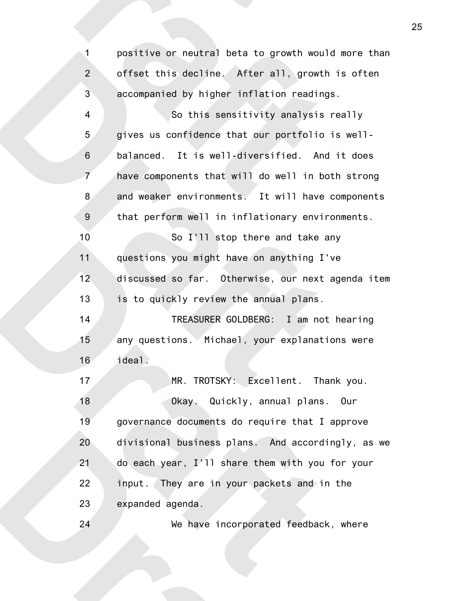positive or neutral beta to growth would more than offset this decline. After all, growth is often accompanied by higher inflation readings. So this sensitivity analysis really gives us confidence that our portfolio is wellbalanced. It is well-diversified. And it does have components that will do well in both strong and weaker environments. It will have components that perform well in inflationary environments. So I'll stop there and take any questions you might have on anything I've discussed so far. Otherwise, our next agenda item 1 2 3 4 5 6 7 8 9 10 11 12

TREASURER GOLDBERG: I am not hearing any questions. Michael, your explanations were ideal. 14 15 16

is to quickly review the annual plans.

13

24

MR. TROTSKY: Excellent. Thank you. Okay. Quickly, annual plans. Our governance documents do require that I approve divisional business plans. And accordingly, as we do each year, I'll share them with you for your input. They are in your packets and in the expanded agenda. 17 18 19 20 21 22 23

We have incorporated feedback, where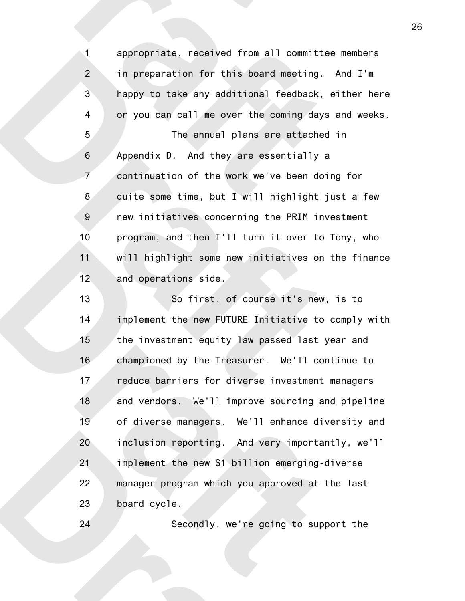appropriate, received from all committee members in preparation for this board meeting. And I'm happy to take any additional feedback, either here or you can call me over the coming days and weeks. The annual plans are attached in Appendix D. And they are essentially a continuation of the work we've been doing for quite some time, but I will highlight just a few new initiatives concerning the PRIM investment program, and then I'll turn it over to Tony, who will highlight some new initiatives on the finance and operations side. 1 2 3 4 5 6 7 8 9 10 11 12

So first, of course it's new, is to implement the new FUTURE Initiative to comply with the investment equity law passed last year and championed by the Treasurer. We'll continue to reduce barriers for diverse investment managers and vendors. We'll improve sourcing and pipeline of diverse managers. We'll enhance diversity and inclusion reporting. And very importantly, we'll implement the new \$1 billion emerging-diverse manager program which you approved at the last board cycle. 13 14 15 16 17 18 19 20 21 22 23

Secondly, we're going to support the

24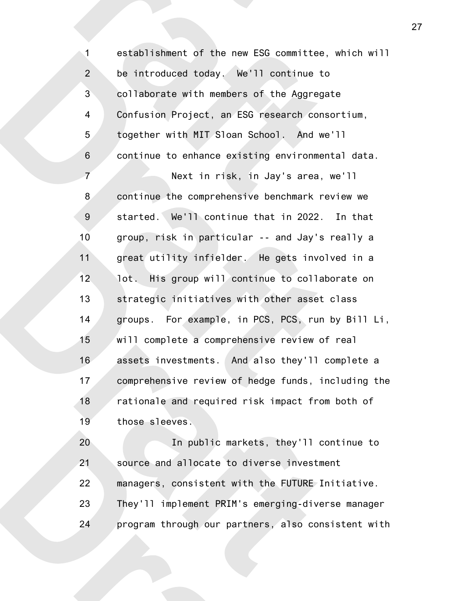establishment of the new ESG committee, which will be introduced today. We'll continue to collaborate with members of the Aggregate Confusion Project, an ESG research consortium, together with MIT Sloan School. And we'll continue to enhance existing environmental data. Next in risk, in Jay's area, we'll continue the comprehensive benchmark review we started. We'll continue that in 2022. In that group, risk in particular -- and Jay's really a great utility infielder. He gets involved in a lot. His group will continue to collaborate on strategic initiatives with other asset class groups. For example, in PCS, PCS, run by Bill Li, will complete a comprehensive review of real assets investments. And also they'll complete a comprehensive review of hedge funds, including the rationale and required risk impact from both of those sleeves. 1 2 3 4 5 6 7 8 9 10 11 12 13 14 15 16 17 18 19

In public markets, they'll continue to source and allocate to diverse investment managers, consistent with the FUTURE Initiative. They'll implement PRIM's emerging-diverse manager program through our partners, also consistent with 20 21 22 23 24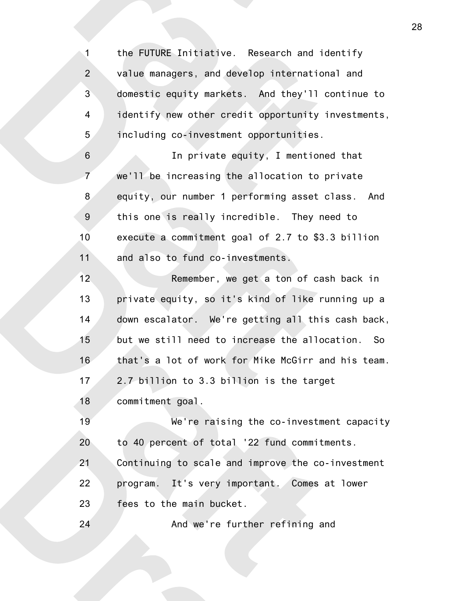the FUTURE Initiative. Research and identify value managers, and develop international and domestic equity markets. And they'll continue to identify new other credit opportunity investments, including co-investment opportunities. 1 2 3 4 5

In private equity, I mentioned that we'll be increasing the allocation to private equity, our number 1 performing asset class. And this one is really incredible. They need to execute a commitment goal of 2.7 to \$3.3 billion and also to fund co-investments. 6 7 8 9 10 11

Remember, we get a ton of cash back in private equity, so it's kind of like running up a down escalator. We're getting all this cash back, but we still need to increase the allocation. So that's a lot of work for Mike McGirr and his team. 2.7 billion to 3.3 billion is the target commitment goal. 12 13 14 15 16 17 18

We're raising the co-investment capacity to 40 percent of total '22 fund commitments. Continuing to scale and improve the co-investment program. It's very important. Comes at lower fees to the main bucket. 19 20 21 22 23

And we're further refining and 24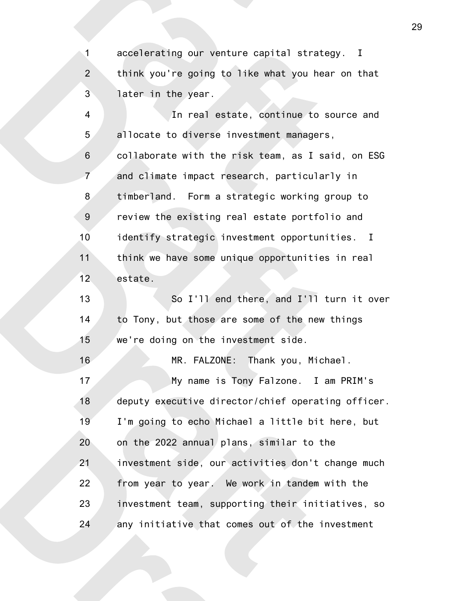accelerating our venture capital strategy. I think you're going to like what you hear on that later in the year. 1 2 3

In real estate, continue to source and allocate to diverse investment managers, collaborate with the risk team, as I said, on ESG and climate impact research, particularly in timberland. Form a strategic working group to review the existing real estate portfolio and identify strategic investment opportunities. I think we have some unique opportunities in real estate. So I'll end there, and I'll turn it over to Tony, but those are some of the new things we're doing on the investment side. MR. FALZONE: Thank you, Michael. 4 5 6 7 8 9 10 11 12 13 14 15 16

My name is Tony Falzone. I am PRIM's deputy executive director/chief operating officer. I'm going to echo Michael a little bit here, but on the 2022 annual plans, similar to the investment side, our activities don't change much from year to year. We work in tandem with the investment team, supporting their initiatives, so any initiative that comes out of the investment 17 18 19 20 21 22 23 24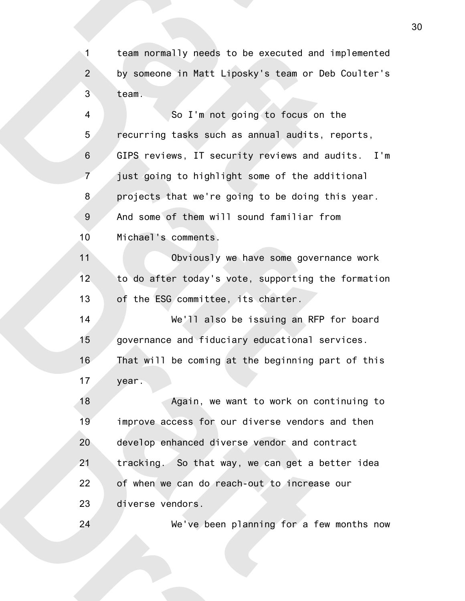team normally needs to be executed and implemented by someone in Matt Liposky's team or Deb Coulter's team. 1 2 3

So I'm not going to focus on the recurring tasks such as annual audits, reports, GIPS reviews, IT security reviews and audits. I'm just going to highlight some of the additional projects that we're going to be doing this year. And some of them will sound familiar from Michael's comments. Obviously we have some governance work to do after today's vote, supporting the formation of the ESG committee, its charter. We'll also be issuing an RFP for board governance and fiduciary educational services. That will be coming at the beginning part of this year. Again, we want to work on continuing to improve access for our diverse vendors and then develop enhanced diverse vendor and contract tracking. So that way, we can get a better idea of when we can do reach-out to increase our diverse vendors. 4 5 6 7 8 9 10 11 12 13 14 15 16 17 18 19 20 21 22 23

We've been planning for a few months now

24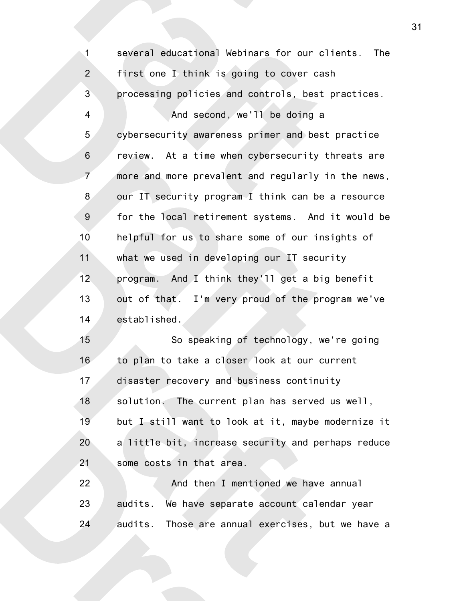several educational Webinars for our clients. The first one I think is going to cover cash processing policies and controls, best practices. And second, we'll be doing a cybersecurity awareness primer and best practice review. At a time when cybersecurity threats are more and more prevalent and regularly in the news, our IT security program I think can be a resource for the local retirement systems. And it would be helpful for us to share some of our insights of what we used in developing our IT security program. And I think they'll get a big benefit out of that. I'm very proud of the program we've established. So speaking of technology, we're going to plan to take a closer look at our current disaster recovery and business continuity solution. The current plan has served us well, but I still want to look at it, maybe modernize it a little bit, increase security and perhaps reduce some costs in that area. And then I mentioned we have annual audits. We have separate account calendar year 1 2 3 4 5 6 7 8 9 10 11 12 13 14 15 16 17 18 19 20 21 22 23

audits. Those are annual exercises, but we have a 24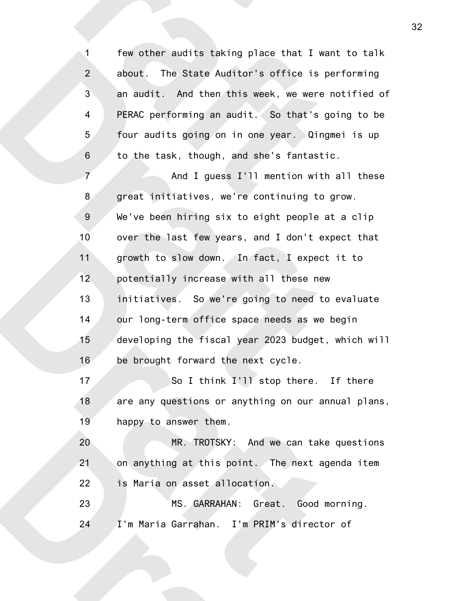few other audits taking place that I want to talk about. The State Auditor's office is performing an audit. And then this week, we were notified of PERAC performing an audit. So that's going to be four audits going on in one year. Qingmei is up to the task, though, and she's fantastic. 1 2 3 4 5 6

And I guess I'll mention with all these great initiatives, we're continuing to grow. We've been hiring six to eight people at a clip over the last few years, and I don't expect that growth to slow down. In fact, I expect it to potentially increase with all these new initiatives. So we're going to need to evaluate our long-term office space needs as we begin developing the fiscal year 2023 budget, which will be brought forward the next cycle. 7 8 9 10 11 12 13 14 15 16

So I think I'll stop there. If there are any questions or anything on our annual plans, happy to answer them. 17 18 19

MR. TROTSKY: And we can take questions on anything at this point. The next agenda item is Maria on asset allocation. 20 21 22

MS. GARRAHAN: Great. Good morning. I'm Maria Garrahan. I'm PRIM's director of 23 24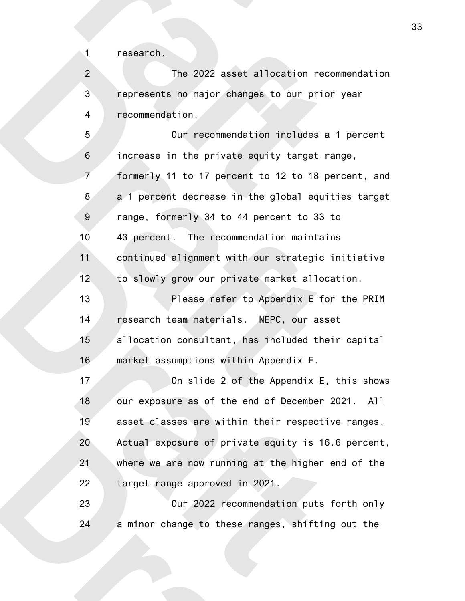research.

1

22

The 2022 asset allocation recommendation represents no major changes to our prior year recommendation. 2 3 4

Our recommendation includes a 1 percent increase in the private equity target range, formerly 11 to 17 percent to 12 to 18 percent, and a 1 percent decrease in the global equities target range, formerly 34 to 44 percent to 33 to 43 percent. The recommendation maintains continued alignment with our strategic initiative to slowly grow our private market allocation. Please refer to Appendix E for the PRIM research team materials. NEPC, our asset allocation consultant, has included their capital market assumptions within Appendix F. On slide 2 of the Appendix E, this shows our exposure as of the end of December 2021. All asset classes are within their respective ranges. Actual exposure of private equity is 16.6 percent, where we are now running at the higher end of the 5 6 7 8 9 10 11 12 13 14 15 16 17 18 19 20 21

Our 2022 recommendation puts forth only a minor change to these ranges, shifting out the 23 24

target range approved in 2021.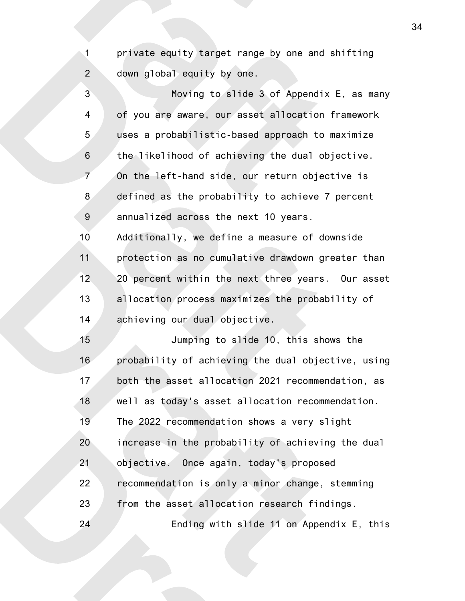private equity target range by one and shifting down global equity by one. 2

1

Moving to slide 3 of Appendix E, as many of you are aware, our asset allocation framework uses a probabilistic-based approach to maximize the likelihood of achieving the dual objective. On the left-hand side, our return objective is defined as the probability to achieve 7 percent annualized across the next 10 years. Additionally, we define a measure of downside protection as no cumulative drawdown greater than 20 percent within the next three years. Our asset allocation process maximizes the probability of achieving our dual objective. 3 4 5 6 7 8 9 10 11 12 13 14

Jumping to slide 10, this shows the probability of achieving the dual objective, using both the asset allocation 2021 recommendation, as well as today's asset allocation recommendation. The 2022 recommendation shows a very slight increase in the probability of achieving the dual objective. Once again, today's proposed recommendation is only a minor change, stemming from the asset allocation research findings. Ending with slide 11 on Appendix E, this 15 16 17 18 19 20 21 22 23 24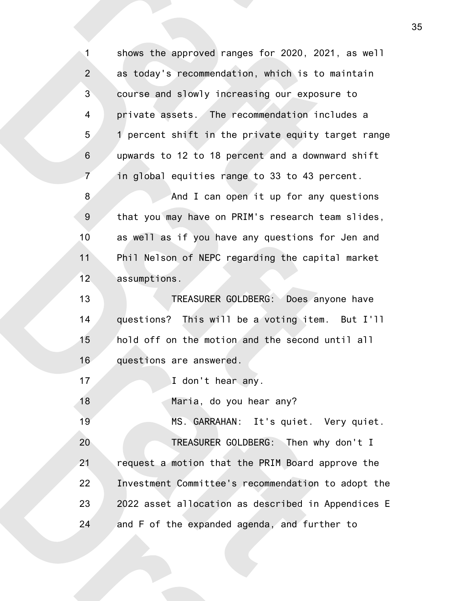shows the approved ranges for 2020, 2021, as well as today's recommendation, which is to maintain course and slowly increasing our exposure to private assets. The recommendation includes a 1 percent shift in the private equity target range upwards to 12 to 18 percent and a downward shift in global equities range to 33 to 43 percent. And I can open it up for any questions that you may have on PRIM's research team slides, as well as if you have any questions for Jen and Phil Nelson of NEPC regarding the capital market assumptions. TREASURER GOLDBERG: Does anyone have questions? This will be a voting item. But I'll hold off on the motion and the second until all questions are answered. I don't hear any. Maria, do you hear any? MS. GARRAHAN: It's quiet. Very quiet. TREASURER GOLDBERG: Then why don't I request a motion that the PRIM Board approve the Investment Committee's recommendation to adopt the 2022 asset allocation as described in Appendices E and F of the expanded agenda, and further to 1 2 3 4 5 6 7 8 9 10 11 12 13 14 15 16 17 18 19 20 21 22 23 24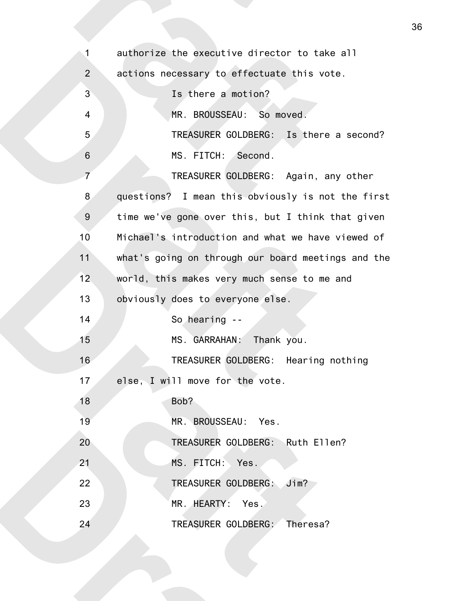| $\mathbf{1}$   | authorize the executive director to take all       |
|----------------|----------------------------------------------------|
| $\overline{2}$ | actions necessary to effectuate this vote.         |
| 3              | Is there a motion?                                 |
| $\overline{4}$ | MR. BROUSSEAU: So moved.                           |
| 5              | TREASURER GOLDBERG: Is there a second?             |
| $\,$ 6 $\,$    | MS. FITCH: Second.                                 |
| $\overline{7}$ | TREASURER GOLDBERG: Again, any other               |
| 8              | questions? I mean this obviously is not the first  |
| $9\,$          | time we've gone over this, but I think that given  |
| 10             | Michael's introduction and what we have viewed of  |
| 11             | what's going on through our board meetings and the |
| 12             | world, this makes very much sense to me and        |
| 13             | obviously does to everyone else.                   |
| 14             | So hearing --                                      |
| 15             | MS. GARRAHAN: Thank you.                           |
| 16             | TREASURER GOLDBERG: Hearing nothing                |
| 17             | else, I will move for the vote.                    |
| 18             | Bob?                                               |
| 19             | MR. BROUSSEAU: Yes.                                |
| 20             | TREASURER GOLDBERG: Ruth Ellen?                    |
| 21             | MS. FITCH: Yes.                                    |
| 22             | TREASURER GOLDBERG: Jim?                           |
|                |                                                    |
| 23             | MR. HEARTY: Yes.                                   |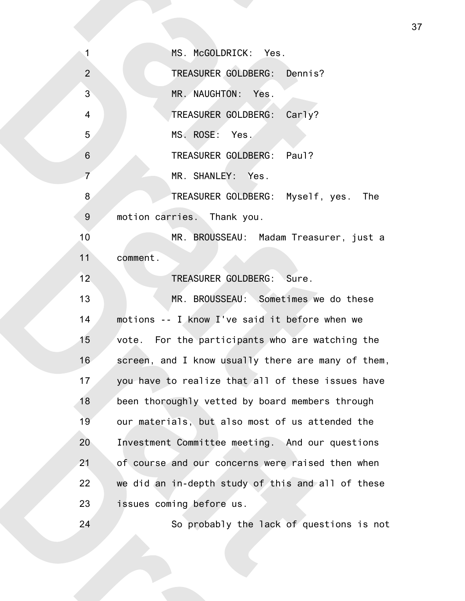MS. McGOLDRICK: Yes. TREASURER GOLDBERG: Dennis? MR. NAUGHTON: Yes. TREASURER GOLDBERG: Carly? MS. ROSE: Yes. TREASURER GOLDBERG: Paul? MR. SHANLEY: Yes. TREASURER GOLDBERG: Myself, yes. The motion carries. Thank you. MR. BROUSSEAU: Madam Treasurer, just a comment. TREASURER GOLDBERG: Sure. MR. BROUSSEAU: Sometimes we do these motions -- I know I've said it before when we vote. For the participants who are watching the screen, and I know usually there are many of them, you have to realize that all of these issues have been thoroughly vetted by board members through our materials, but also most of us attended the Investment Committee meeting. And our questions of course and our concerns were raised then when we did an in-depth study of this and all of these issues coming before us. 1 2 3 4 5 6 7 8 9 10 11 12 13 14 15 16 17 18 19 20 21 22 23

So probably the lack of questions is not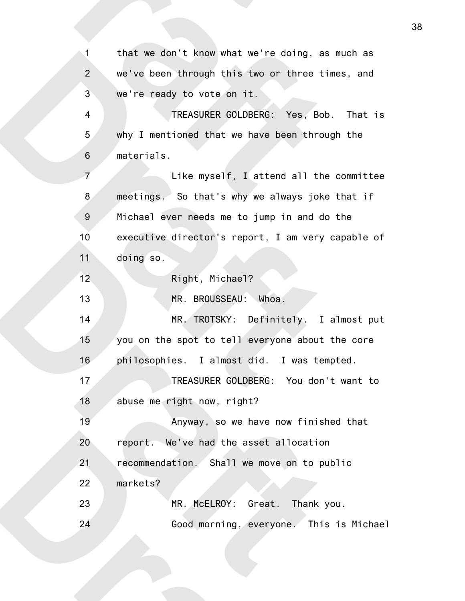that we don't know what we're doing, as much as we've been through this two or three times, and we're ready to vote on it. TREASURER GOLDBERG: Yes, Bob. That is why I mentioned that we have been through the materials. Like myself, I attend all the committee meetings. So that's why we always joke that if Michael ever needs me to jump in and do the executive director's report, I am very capable of doing so. Right, Michael? MR. BROUSSEAU: Whoa. MR. TROTSKY: Definitely. I almost put you on the spot to tell everyone about the core philosophies. I almost did. I was tempted. TREASURER GOLDBERG: You don't want to abuse me right now, right? Anyway, so we have now finished that report. We've had the asset allocation recommendation. Shall we move on to public markets? MR. McELROY: Great. Thank you. Good morning, everyone. This is Michael 1 2 3 4 5 6 7 8 9 10 11 12 13 14 15 16 17 18 19 20 21 22 23 24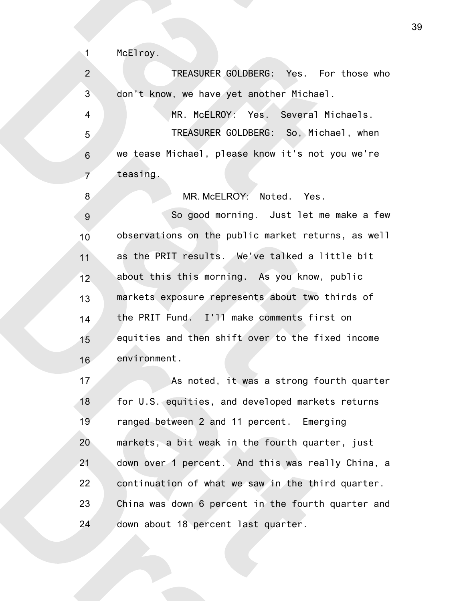1

8

TREASURER GOLDBERG: Yes. For those who don't know, we have yet another Michael. 2 3

MR. McELROY: Yes. Several Michaels. TREASURER GOLDBERG: So, Michael, when we tease Michael, please know it's not you we're teasing. 4 5 6 7

MR. McELROY: Noted. Yes.

So good morning. Just let me make a few observations on the public market returns, as well as the PRIT results. We've talked a little bit about this this morning. As you know, public markets exposure represents about two thirds of the PRIT Fund. I'll make comments first on equities and then shift over to the fixed income environment. 9 10 11 12 13 14 15 16

As noted, it was a strong fourth quarter for U.S. equities, and developed markets returns ranged between 2 and 11 percent. Emerging markets, a bit weak in the fourth quarter, just down over 1 percent. And this was really China, a continuation of what we saw in the third quarter. China was down 6 percent in the fourth quarter and down about 18 percent last quarter. 17 18 19 20 21 22 23 24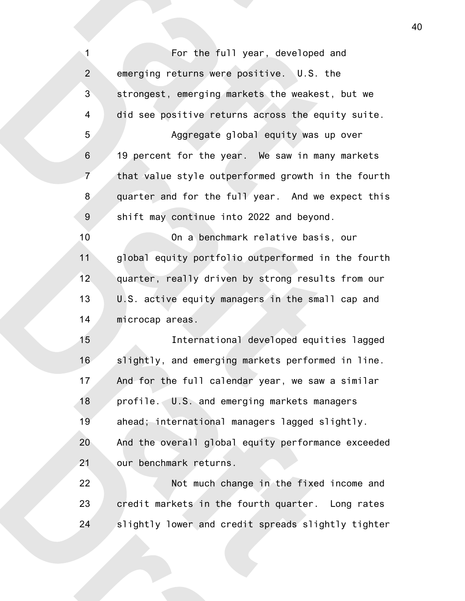For the full year, developed and emerging returns were positive. U.S. the strongest, emerging markets the weakest, but we did see positive returns across the equity suite. Aggregate global equity was up over 19 percent for the year. We saw in many markets that value style outperformed growth in the fourth quarter and for the full year. And we expect this shift may continue into 2022 and beyond. On a benchmark relative basis, our global equity portfolio outperformed in the fourth quarter, really driven by strong results from our U.S. active equity managers in the small cap and microcap areas. International developed equities lagged slightly, and emerging markets performed in line. And for the full calendar year, we saw a similar profile. U.S. and emerging markets managers ahead; international managers lagged slightly. And the overall global equity performance exceeded our benchmark returns. Not much change in the fixed income and credit markets in the fourth quarter. Long rates slightly lower and credit spreads slightly tighter 1 2 3 4 5 6 7 8 9 10 11 12 13 14 15 16 17 18 19 20 21 22 23 24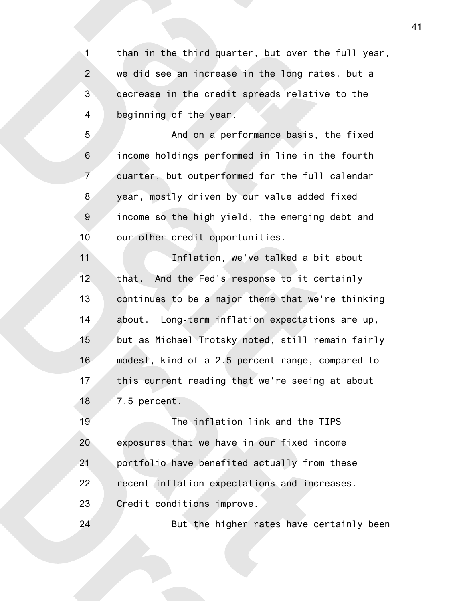than in the third quarter, but over the full year, we did see an increase in the long rates, but a decrease in the credit spreads relative to the beginning of the year. 1 2 3 4

And on a performance basis, the fixed income holdings performed in line in the fourth quarter, but outperformed for the full calendar year, mostly driven by our value added fixed income so the high yield, the emerging debt and our other credit opportunities. 5 6 7 8 9 10

Inflation, we've talked a bit about that. And the Fed's response to it certainly continues to be a major theme that we're thinking about. Long-term inflation expectations are up, but as Michael Trotsky noted, still remain fairly modest, kind of a 2.5 percent range, compared to this current reading that we're seeing at about 7.5 percent. 11 12 13 14 15 16 17 18

The inflation link and the TIPS exposures that we have in our fixed income portfolio have benefited actually from these recent inflation expectations and increases. Credit conditions improve. 19 20 21 22 23

24

But the higher rates have certainly been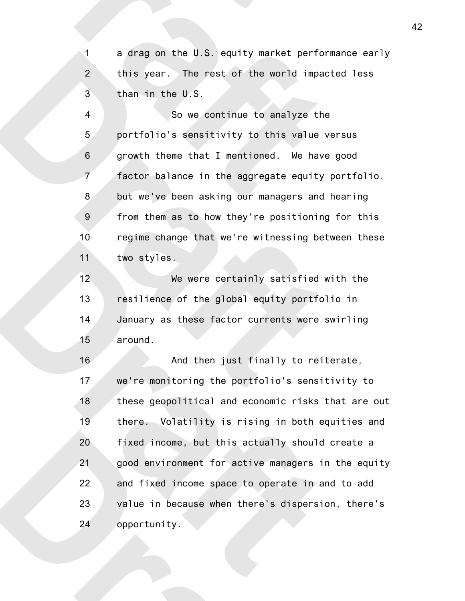a drag on the U.S. equity market performance early this year. The rest of the world impacted less than in the U.S. 1 2 3

So we continue to analyze the portfolio's sensitivity to this value versus growth theme that I mentioned. We have good factor balance in the aggregate equity portfolio, but we've been asking our managers and hearing from them as to how they're positioning for this regime change that we're witnessing between these two styles. 4 5 6 7 8 9 10 11

We were certainly satisfied with the resilience of the global equity portfolio in January as these factor currents were swirling around. 12 13 14 15

And then just finally to reiterate, we're monitoring the portfolio's sensitivity to these geopolitical and economic risks that are out there. Volatility is rising in both equities and fixed income, but this actually should create a good environment for active managers in the equity and fixed income space to operate in and to add value in because when there's dispersion, there's opportunity. 16 17 18 19 20 21 22 23 24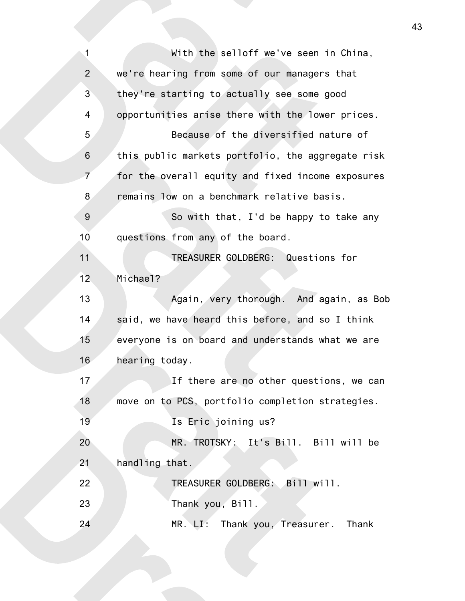| $\mathbf{1}$     | With the selloff we've seen in China,             |
|------------------|---------------------------------------------------|
| $\overline{2}$   | we're hearing from some of our managers that      |
| 3                | they're starting to actually see some good        |
| 4                | opportunities arise there with the lower prices.  |
| 5                | Because of the diversified nature of              |
| $6\phantom{1}$   | this public markets portfolio, the aggregate risk |
| $\overline{7}$   | for the overall equity and fixed income exposures |
| 8                | remains low on a benchmark relative basis.        |
| $\boldsymbol{9}$ | So with that, I'd be happy to take any            |
| 10               | questions from any of the board.                  |
| 11               | TREASURER GOLDBERG: Questions for                 |
| 12               | Michael?                                          |
| 13               | Again, very thorough. And again, as Bob           |
|                  |                                                   |
| 14               | said, we have heard this before, and so I think   |
| 15               | everyone is on board and understands what we are  |
| 16               | hearing today.                                    |
| 17               | If there are no other questions, we can           |
| 18               | move on to PCS, portfolio completion strategies.  |
| 19               | Is Eric joining us?                               |
| 20               | MR. TROTSKY: It's Bill. Bill will be              |
| 21               | handling that.                                    |
| 22               | TREASURER GOLDBERG: Bill will.                    |
| 23               | Thank you, Bill.                                  |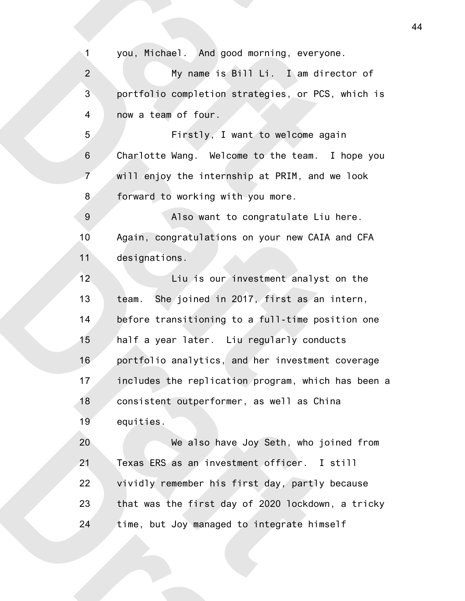you, Michael. And good morning, everyone.

1

My name is Bill Li. I am director of portfolio completion strategies, or PCS, which is now a team of four. 2 3 4

Firstly, I want to welcome again Charlotte Wang. Welcome to the team. I hope you will enjoy the internship at PRIM, and we look forward to working with you more. 5 6 7 8

Also want to congratulate Liu here. Again, congratulations on your new CAIA and CFA designations. 9 10 11

Liu is our investment analyst on the team. She joined in 2017, first as an intern, before transitioning to a full-time position one half a year later. Liu regularly conducts portfolio analytics, and her investment coverage includes the replication program, which has been a consistent outperformer, as well as China equities. 12 13 14 15 16 17 18 19

We also have Joy Seth, who joined from Texas ERS as an investment officer. I still vividly remember his first day, partly because that was the first day of 2020 lockdown, a tricky time, but Joy managed to integrate himself 20 21 22 23 24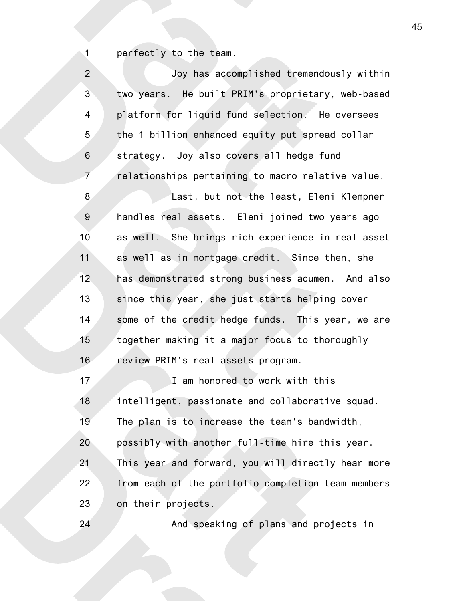perfectly to the team.

1

| $\overline{2}$   | Joy has accomplished tremendously within           |
|------------------|----------------------------------------------------|
| $\overline{3}$   | two years. He built PRIM's proprietary, web-based  |
| $\overline{4}$   | platform for liquid fund selection. He oversees    |
| 5                | the 1 billion enhanced equity put spread collar    |
| $\,6$            | strategy. Joy also covers all hedge fund           |
| $\overline{7}$   | relationships pertaining to macro relative value.  |
| 8                | Last, but not the least, Eleni Klempner            |
| $\boldsymbol{9}$ | handles real assets. Eleni joined two years ago    |
| 10               | as well. She brings rich experience in real asset  |
| 11               | as well as in mortgage credit. Since then, she     |
| 12               | has demonstrated strong business acumen. And also  |
| 13               | since this year, she just starts helping cover     |
| 14               | some of the credit hedge funds. This year, we are  |
| 15               | together making it a major focus to thoroughly     |
| 16               | review PRIM's real assets program.                 |
| 17               | I am honored to work with this                     |
| 18               | intelligent, passionate and collaborative squad.   |
| 19               | The plan is to increase the team's bandwidth,      |
| 20               | possibly with another full-time hire this year.    |
| 21               | This year and forward, you will directly hear more |
| 22               | from each of the portfolio completion team members |
| 23               | on their projects.                                 |
| 24               | And speaking of plans and projects in              |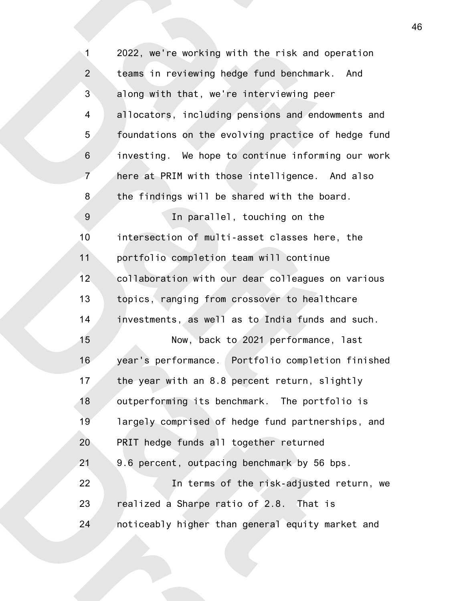2022, we're working with the risk and operation teams in reviewing hedge fund benchmark. And along with that, we're interviewing peer allocators, including pensions and endowments and foundations on the evolving practice of hedge fund investing. We hope to continue informing our work here at PRIM with those intelligence. And also the findings will be shared with the board. In parallel, touching on the intersection of multi-asset classes here, the portfolio completion team will continue collaboration with our dear colleagues on various topics, ranging from crossover to healthcare investments, as well as to India funds and such. Now, back to 2021 performance, last year's performance. Portfolio completion finished the year with an 8.8 percent return, slightly outperforming its benchmark. The portfolio is largely comprised of hedge fund partnerships, and PRIT hedge funds all together returned 9.6 percent, outpacing benchmark by 56 bps. In terms of the risk-adjusted return, we realized a Sharpe ratio of 2.8. That is noticeably higher than general equity market and 1 2 3 4 5 6 7 8 9 10 11 12 13 14 15 16 17 18 19 20 21 22 23 24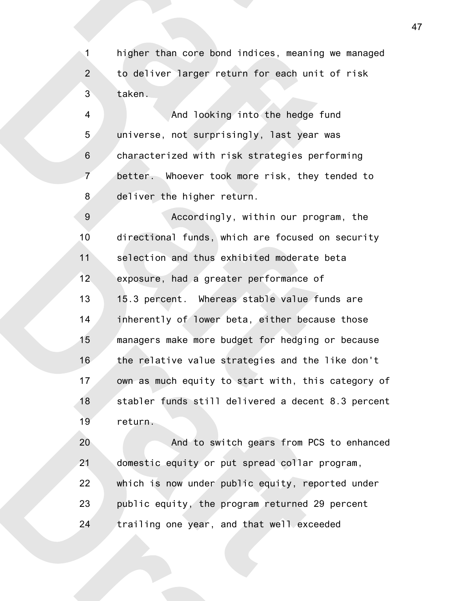higher than core bond indices, meaning we managed to deliver larger return for each unit of risk taken. 1 2 3

And looking into the hedge fund universe, not surprisingly, last year was characterized with risk strategies performing better. Whoever took more risk, they tended to deliver the higher return. 4 5 6 7 8

Accordingly, within our program, the directional funds, which are focused on security selection and thus exhibited moderate beta exposure, had a greater performance of 15.3 percent. Whereas stable value funds are inherently of lower beta, either because those managers make more budget for hedging or because the relative value strategies and the like don't own as much equity to start with, this category of stabler funds still delivered a decent 8.3 percent return. 9 10 11 12 13 14 15 16 17 18 19

And to switch gears from PCS to enhanced domestic equity or put spread collar program, which is now under public equity, reported under public equity, the program returned 29 percent trailing one year, and that well exceeded 20 21 22 23 24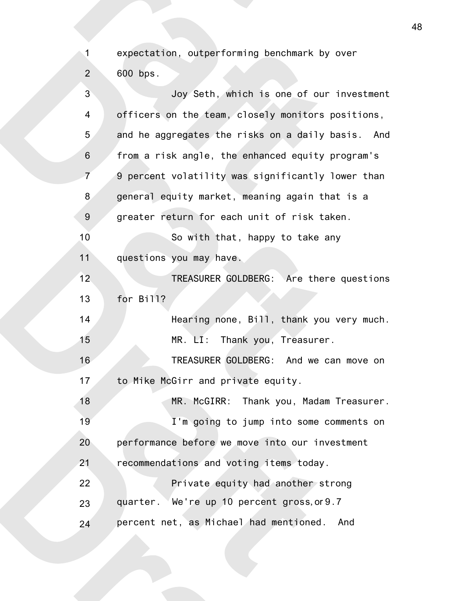expectation, outperforming benchmark by over 600 bps. 2

1

| 3              | Joy Seth, which is one of our investment          |
|----------------|---------------------------------------------------|
| 4              | officers on the team, closely monitors positions, |
| 5              | and he aggregates the risks on a daily basis. And |
| 6              | from a risk angle, the enhanced equity program's  |
| $\overline{7}$ | 9 percent volatility was significantly lower than |
| 8              | general equity market, meaning again that is a    |
| 9              | greater return for each unit of risk taken.       |
| 10             | So with that, happy to take any                   |
| 11             | questions you may have.                           |
| 12             | TREASURER GOLDBERG: Are there questions           |
| 13             | for Bill?                                         |
| 14             | Hearing none, Bill, thank you very much.          |
| 15             | MR. LI: Thank you, Treasurer.                     |
| 16             | TREASURER GOLDBERG: And we can move on            |
| 17             | to Mike McGirr and private equity.                |
| 18             | MR. McGIRR: Thank you, Madam Treasurer.           |
| 19             | I'm going to jump into some comments on           |
| 20             | performance before we move into our investment    |
| 21             | recommendations and voting items today.           |
| 22             | Private equity had another strong                 |
| 23             | quarter. We're up 10 percent gross, or 9.7        |
| 24             | percent net, as Michael had mentioned.<br>And     |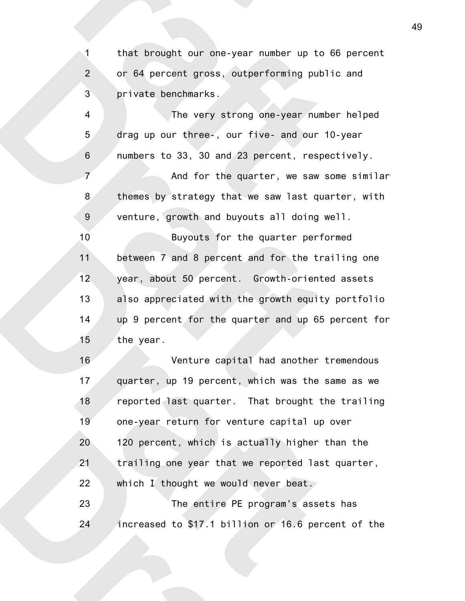that brought our one-year number up to 66 percent or 64 percent gross, outperforming public and private benchmarks. 1 2 3

The very strong one-year number helped drag up our three-, our five- and our 10-year numbers to 33, 30 and 23 percent, respectively. And for the quarter, we saw some similar themes by strategy that we saw last quarter, with venture, growth and buyouts all doing well. 4 5 6 7 8 9

Buyouts for the quarter performed between 7 and 8 percent and for the trailing one year, about 50 percent. Growth-oriented assets also appreciated with the growth equity portfolio up 9 percent for the quarter and up 65 percent for the year. 10 11 12 13 14 15

Venture capital had another tremendous quarter, up 19 percent, which was the same as we reported last quarter. That brought the trailing one-year return for venture capital up over 120 percent, which is actually higher than the trailing one year that we reported last quarter, which I thought we would never beat. The entire PE program's assets has 16 17 18 19 20 21 22 23

increased to \$17.1 billion or 16.6 percent of the 24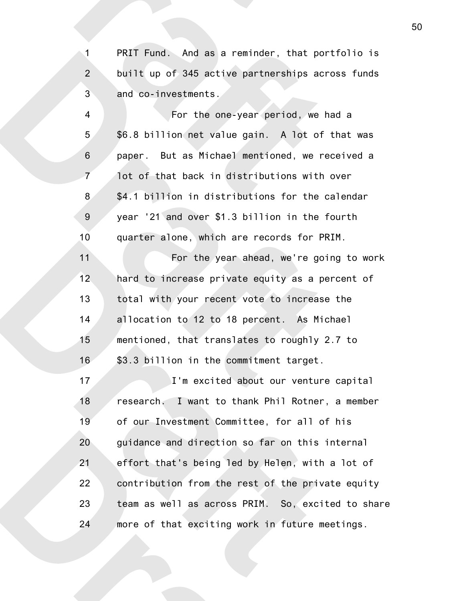PRIT Fund. And as a reminder, that portfolio is built up of 345 active partnerships across funds and co-investments. 1 2 3

For the one-year period, we had a \$6.8 billion net value gain. A lot of that was paper. But as Michael mentioned, we received a lot of that back in distributions with over \$4.1 billion in distributions for the calendar year '21 and over \$1.3 billion in the fourth quarter alone, which are records for PRIM. 4 5 6 7 8 9 10

For the year ahead, we're going to work hard to increase private equity as a percent of total with your recent vote to increase the allocation to 12 to 18 percent. As Michael mentioned, that translates to roughly 2.7 to \$3.3 billion in the commitment target. 11 12 13 14 15 16

I'm excited about our venture capital research. I want to thank Phil Rotner, a member of our Investment Committee, for all of his guidance and direction so far on this internal effort that's being led by Helen, with a lot of contribution from the rest of the private equity team as well as across PRIM. So, excited to share more of that exciting work in future meetings. 17 18 19 20 21 22 23 24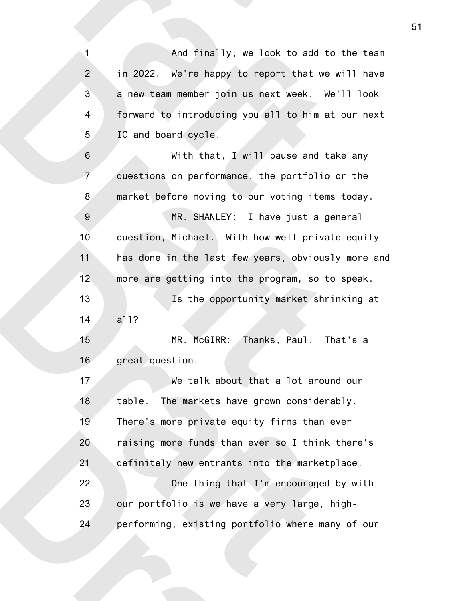And finally, we look to add to the team in 2022. We're happy to report that we will have a new team member join us next week. We'll look forward to introducing you all to him at our next IC and board cycle. With that, I will pause and take any questions on performance, the portfolio or the market before moving to our voting items today. MR. SHANLEY: I have just a general question, Michael. With how well private equity has done in the last few years, obviously more and more are getting into the program, so to speak. Is the opportunity market shrinking at all? MR. McGIRR: Thanks, Paul. That's a great question. We talk about that a lot around our table. The markets have grown considerably. There's more private equity firms than ever raising more funds than ever so I think there's definitely new entrants into the marketplace. One thing that I'm encouraged by with our portfolio is we have a very large, highperforming, existing portfolio where many of our 1 2 3 4 5 6 7 8 9 10 11 12 13 14 15 16 17 18 19 20 21 22 23 24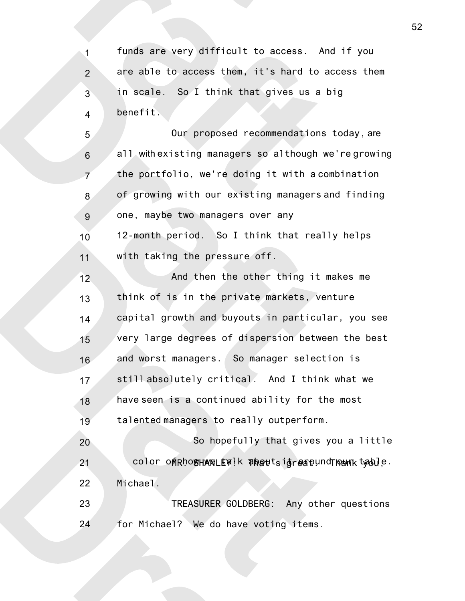funds are very difficult to access. And if you are able to access them, it's hard to access them in scale. So I think that gives us a big benefit. 1 2 3 4

Our proposed recommendations today, are all with existing managers so although we're growing the portfolio, we're doing it with a combination of growing with our existing managers and finding one, maybe two managers over any 12-month period. So I think that really helps with taking the pressure off. 5 6 7 8 9 10 11

And then the other thing it makes me think of is in the private markets, venture capital growth and buyouts in particular, you see very large degrees of dispersion between the best and worst managers. So manager selection is still absolutely critical. And I think what we have seen is a continued ability for the most talented managers to really outperform. So hopefully that gives you a little 12 13 14 15 16 17 18 19 20

color of RhogHANRLEY! k about sigrespund The MR. Leble. Michael. 21 22

TREASURER GOLDBERG: Any other questions for Michael? We do have voting items. 23 24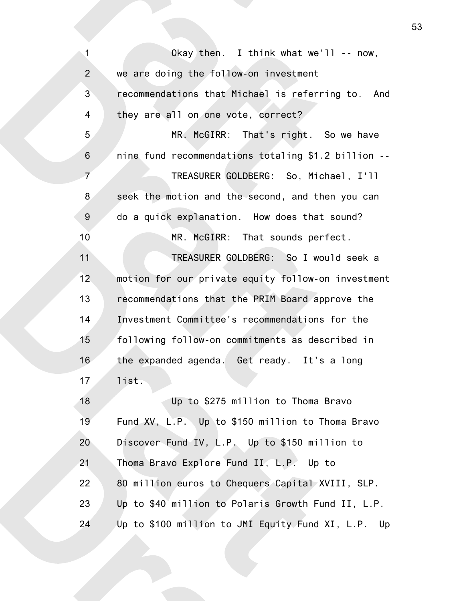| $\mathbf{1}$     | Okay then. I think what we'll $-$ now,              |
|------------------|-----------------------------------------------------|
| $\overline{2}$   | we are doing the follow-on investment               |
| 3                | recommendations that Michael is referring to. And   |
| $\overline{4}$   | they are all on one vote, correct?                  |
| 5                | MR. McGIRR: That's right. So we have                |
| $\,$ 6 $\,$      | nine fund recommendations totaling \$1.2 billion -- |
| $\overline{7}$   | TREASURER GOLDBERG: So, Michael, I'll               |
| 8                | seek the motion and the second, and then you can    |
| $\boldsymbol{9}$ | do a quick explanation. How does that sound?        |
| 10               | MR. McGIRR: That sounds perfect.                    |
| 11               | TREASURER GOLDBERG: So I would seek a               |
| 12               | motion for our private equity follow-on investment  |
| 13               | recommendations that the PRIM Board approve the     |
| 14               | Investment Committee's recommendations for the      |
| 15               | following follow-on commitments as described in     |
| 16               | the expanded agenda. Get ready. It's a long         |
| 17               | list.                                               |
| 18               | Up to \$275 million to Thoma Bravo                  |
| 19               | Fund XV, L.P. Up to \$150 million to Thoma Bravo    |
| 20               | Discover Fund IV, L.P. Up to \$150 million to       |
| 21               | Thoma Bravo Explore Fund II, L.P. Up to             |
| 22               | 80 million euros to Chequers Capital XVIII, SLP.    |
| 23               | Up to \$40 million to Polaris Growth Fund II, L.P.  |
| 24               | Up to \$100 million to JMI Equity Fund XI, L.P. Up  |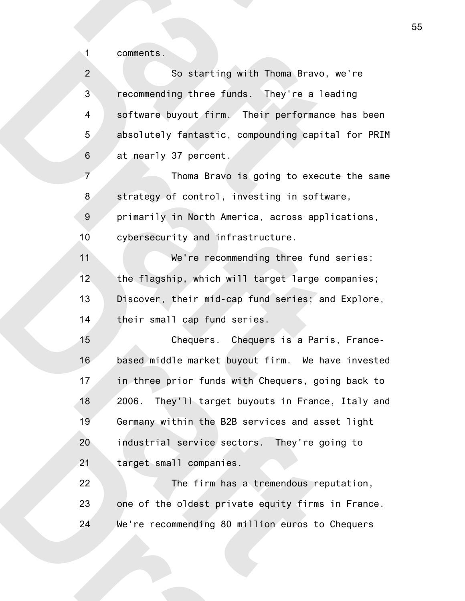comments.

1

So starting with Thoma Bravo, we're recommending three funds. They're a leading software buyout firm. Their performance has been absolutely fantastic, compounding capital for PRIM at nearly 37 percent. Thoma Bravo is going to execute the same strategy of control, investing in software, primarily in North America, across applications, cybersecurity and infrastructure. We're recommending three fund series: the flagship, which will target large companies; Discover, their mid-cap fund series; and Explore, their small cap fund series. Chequers. Chequers is a Paris, Francebased middle market buyout firm. We have invested in three prior funds with Chequers, going back to 2006. They'll target buyouts in France, Italy and Germany within the B2B services and asset light industrial service sectors. They're going to target small companies. The firm has a tremendous reputation, one of the oldest private equity firms in France. We're recommending 80 million euros to Chequers 2 3 4 5 6 7 8 9 10 11 12 13 14 15 16 17 18 19 20 21 22 23 24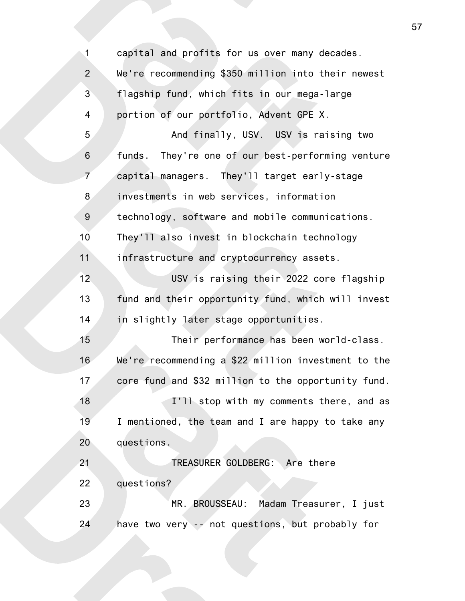| $\mathbf{1}$    | profits for us over many decades. LCWe're                        |
|-----------------|------------------------------------------------------------------|
| $\overline{2}$  | recommending \$350 million into their newest□C                   |
| 3               | flagship fund, which fits in our mega-large <sup>IC</sup>        |
| 4               | portion of our portfolio, Advent GPE X.                          |
| 5               | And finally, USV. USV is raising two LC                          |
| 6               | They're one of our best-performing ventureDC<br>funds.           |
| $\overline{7}$  | capital managers. They'll target early-stageOC                   |
| 8               | investments in web services, informationDC                       |
| $\overline{9}$  | technology, software and mobile communications. OC               |
| 10              | They'll also invest in blockchain technology□C                   |
| 11              | infrastructure and cryptocurrency assets.                        |
| 12 <sub>2</sub> | USV is raising their 2022 core flagshipDC                        |
| 13              | fund and their opportunity fund, which will invest <sup>IC</sup> |
| 14              | in slightly later stage opportunities.                           |
| 15              | Their performance has been world-class. LC                       |
| 16              | We're recommending a \$22 million investment to the C            |
| 17              | core fund and \$32 million to the opportunity fund.              |
| 18              | I'll stop with my comments there, and as DC                      |
| 19              | I mentioned, the team and I are happy to take any C              |
| 20              | questions.                                                       |
| 21              | TREASURER GOLDBERG: Are there <sup>IC</sup>                      |
| 22              | questions?                                                       |
| 23              | MR. BROUSSEAU: Madam Treasurer, I just                           |
| 24              | have two very -- not questions, but probably for                 |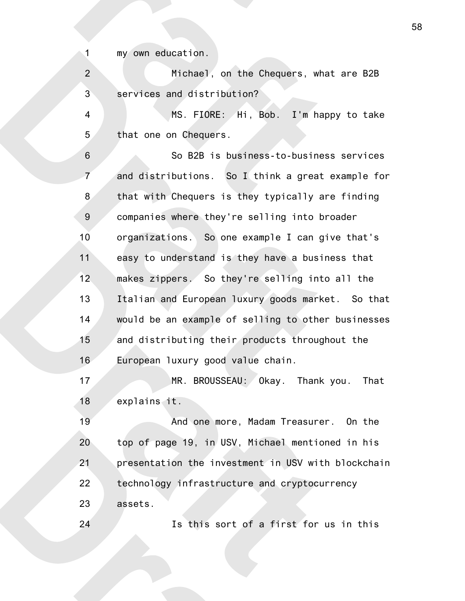my own education.

1

24

Michael, on the Chequers, what are B2B services and distribution? 2 3

MS. FIORE: Hi, Bob. I'm happy to take that one on Chequers. 4 5

So B2B is business-to-business services and distributions. So I think a great example for that with Chequers is they typically are finding companies where they're selling into broader organizations. So one example I can give that's easy to understand is they have a business that makes zippers. So they're selling into all the Italian and European luxury goods market. So that would be an example of selling to other businesses and distributing their products throughout the European luxury good value chain. 6 7 8 9 10 11 12 13 14 15 16

MR. BROUSSEAU: Okay. Thank you. That explains it. 17 18

And one more, Madam Treasurer. On the top of page 19, in USV, Michael mentioned in his presentation the investment in USV with blockchain technology infrastructure and cryptocurrency assets. 19 20 21 22 23

Is this sort of a first for us in this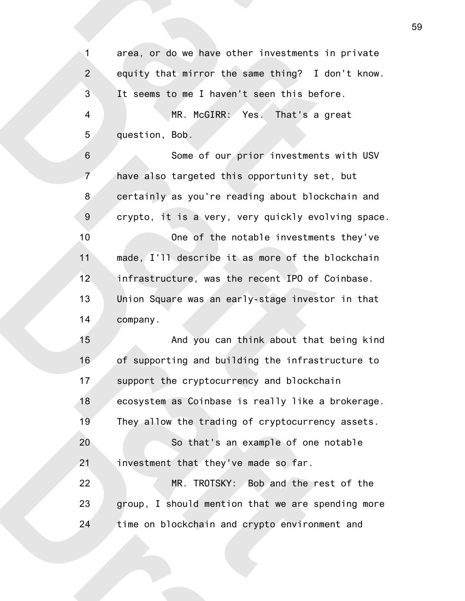area, or do we have other investments in private equity that mirror the same thing? I don't know. It seems to me I haven't seen this before. MR. McGIRR: Yes. That's a great question, Bob. Some of our prior investments with USV have also targeted this opportunity set, but certainly as you're reading about blockchain and crypto, it is a very, very quickly evolving space. One of the notable investments they've made, I'll describe it as more of the blockchain infrastructure, was the recent IPO of Coinbase. Union Square was an early-stage investor in that company. And you can think about that being kind of supporting and building the infrastructure to support the cryptocurrency and blockchain ecosystem as Coinbase is really like a brokerage. They allow the trading of cryptocurrency assets. So that's an example of one notable investment that they've made so far. MR. TROTSKY: Bob and the rest of the group, I should mention that we are spending more time on blockchain and crypto environment and 1 2 3 4 5 6 7 8 9 10 11 12 13 14 15 16 17 18 19 20 21 22 23 24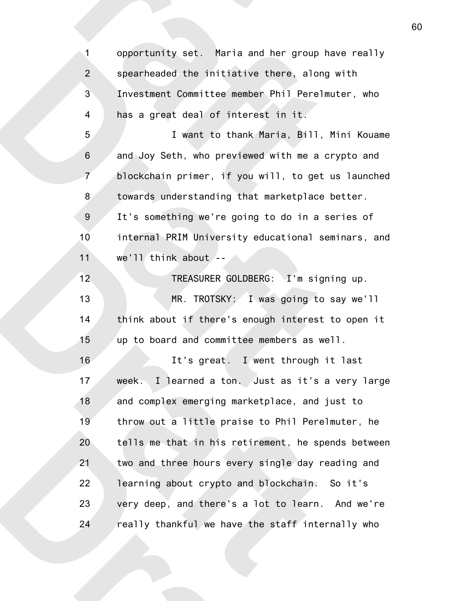opportunity set. Maria and her group have really spearheaded the initiative there, along with Investment Committee member Phil Perelmuter, who has a great deal of interest in it. 1 2 3 4

I want to thank Maria, Bill, Mini Kouame and Joy Seth, who previewed with me a crypto and blockchain primer, if you will, to get us launched towards understanding that marketplace better. It's something we're going to do in a series of internal PRIM University educational seminars, and we'll think about -- 5 6 7 8 9 10 11

TREASURER GOLDBERG: I'm signing up. MR. TROTSKY: I was going to say we'll think about if there's enough interest to open it up to board and committee members as well. 12 13 14 15

It's great. I went through it last week. I learned a ton. Just as it's a very large and complex emerging marketplace, and just to throw out a little praise to Phil Perelmuter, he tells me that in his retirement, he spends between two and three hours every single day reading and learning about crypto and blockchain. So it's very deep, and there's a lot to learn. And we're really thankful we have the staff internally who 16 17 18 19 20 21 22 23 24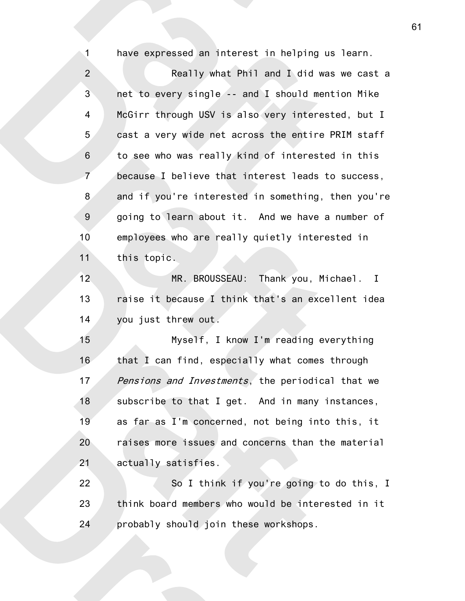have expressed an interest in helping us learn.

1

Really what Phil and I did was we cast a net to every single -- and I should mention Mike McGirr through USV is also very interested, but I cast a very wide net across the entire PRIM staff to see who was really kind of interested in this because I believe that interest leads to success, and if you're interested in something, then you're going to learn about it. And we have a number of employees who are really quietly interested in this topic. 2 3 4 5 6 7 8 9 10 11

MR. BROUSSEAU: Thank you, Michael. I raise it because I think that's an excellent idea you just threw out. 12 13 14

Myself, I know I'm reading everything that I can find, especially what comes through Pensions and Investments, the periodical that we subscribe to that I get. And in many instances, as far as I'm concerned, not being into this, it raises more issues and concerns than the material actually satisfies. 15 16 17 18 19 20 21

So I think if you're going to do this, I think board members who would be interested in it probably should join these workshops. 22 23 24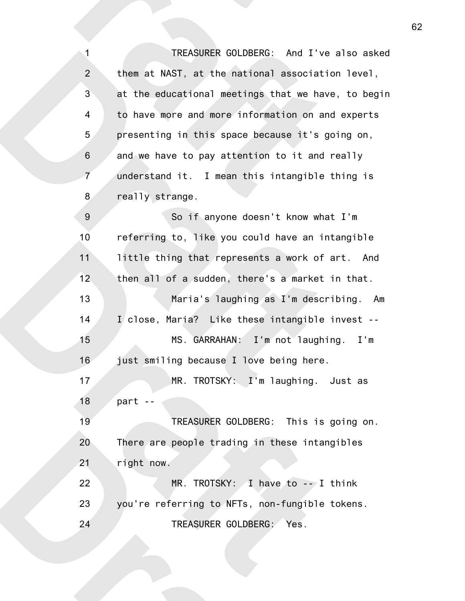TREASURER GOLDBERG: And I've also asked them at NAST, at the national association level, at the educational meetings that we have, to begin to have more and more information on and experts presenting in this space because it's going on, and we have to pay attention to it and really understand it. I mean this intangible thing is really strange. 1 2 3 4 5 6 7 8

So if anyone doesn't know what I'm referring to, like you could have an intangible little thing that represents a work of art. And then all of a sudden, there's a market in that. Maria's laughing as I'm describing. Am I close, Maria? Like these intangible invest -- MS. GARRAHAN: I'm not laughing. I'm just smiling because I love being here. MR. TROTSKY: I'm laughing. Just as part -- TREASURER GOLDBERG: This is going on. There are people trading in these intangibles right now.  $MR. TROTSKY: A have to -- I think$ you're referring to NFTs, non-fungible tokens. TREASURER GOLDBERG: Yes. 9 10 11 12 13 14 15 16 17 18 19 20 21 22 23 24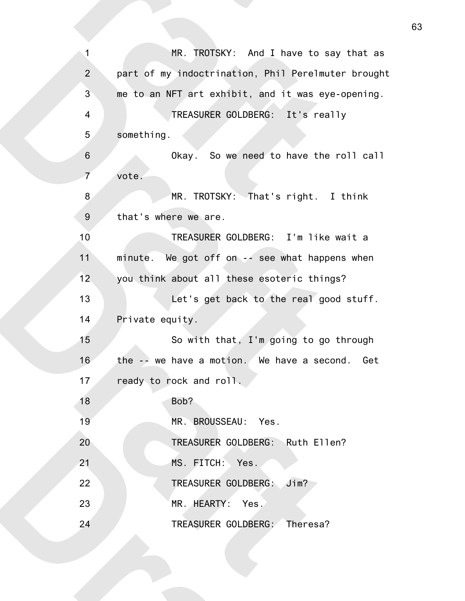| 1              | MR. TROTSKY: And I have to say that as             |
|----------------|----------------------------------------------------|
| $\overline{2}$ | part of my indoctrination, Phil Perelmuter brought |
| 3              | me to an NFT art exhibit, and it was eye-opening.  |
| $\overline{4}$ | TREASURER GOLDBERG: It's really                    |
| 5              | something.                                         |
| $\, 6$         | Okay. So we need to have the roll call             |
| $\overline{7}$ | vote.                                              |
| 8              | MR. TROTSKY: That's right. I think                 |
| $9\,$          | that's where we are.                               |
| 10             | TREASURER GOLDBERG: I'm like wait a                |
| 11             | minute. We got off on -- see what happens when     |
| 12             | you think about all these esoteric things?         |
| 13             | Let's get back to the real good stuff.             |
| 14             | Private equity.                                    |
| 15             | So with that, I'm going to go through              |
| 16             | the $-$ we have a motion. We have a second. Get    |
| 17             | ready to rock and roll.                            |
| 18             | Bob?                                               |
| 19             | MR. BROUSSEAU: Yes.                                |
| 20             | TREASURER GOLDBERG: Ruth Ellen?                    |
| 21             | MS. FITCH: Yes.                                    |
| 22             | TREASURER GOLDBERG:<br>Jim?                        |
| 23             | MR. HEARTY: Yes.                                   |
| 24             | TREASURER GOLDBERG: Theresa?                       |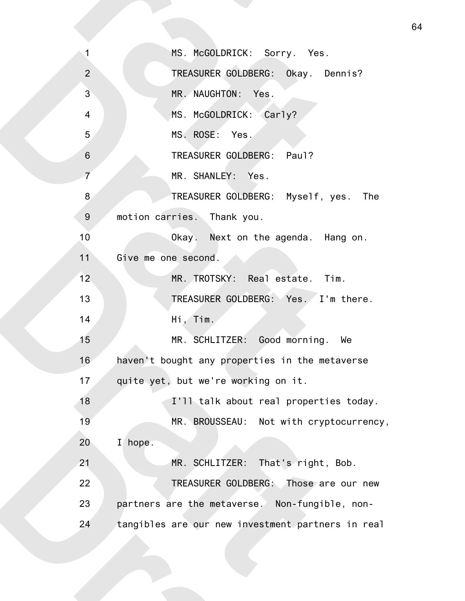| $\mathbf{1}$    | MS. McGOLDRICK: Sorry. Yes.                       |
|-----------------|---------------------------------------------------|
| $\overline{2}$  | TREASURER GOLDBERG: Okay. Dennis?                 |
| $\overline{3}$  | MR. NAUGHTON: Yes.                                |
| $\overline{4}$  | MS. McGOLDRICK: Carly?                            |
| 5               | MS. ROSE: Yes.                                    |
| $\,6\,$         | TREASURER GOLDBERG: Paul?                         |
| $\overline{7}$  | MR. SHANLEY: Yes.                                 |
| 8               | TREASURER GOLDBERG: Myself, yes. The              |
| $9\,$           | motion carries. Thank you.                        |
| 10              | Okay. Next on the agenda. Hang on.                |
| 11              | Give me one second.                               |
| 12 <sub>2</sub> | MR. TROTSKY: Real estate. Tim.                    |
| 13              | TREASURER GOLDBERG: Yes. I'm there.               |
| 14              | Hi, Tim.                                          |
| 15              | MR. SCHLITZER: Good morning. We                   |
| 16              | haven't bought any properties in the metaverse    |
| 17              | quite yet, but we're working on it.               |
| 18              | I'll talk about real properties today.            |
| 19              | MR. BROUSSEAU: Not with cryptocurrency,           |
| 20              | $\mathbf{I}$<br>hope.                             |
| 21              | MR. SCHLITZER: That's right, Bob.                 |
| 22              | TREASURER GOLDBERG: Those are our new             |
| 23              | partners are the metaverse. Non-fungible, non-    |
| 24              | tangibles are our new investment partners in real |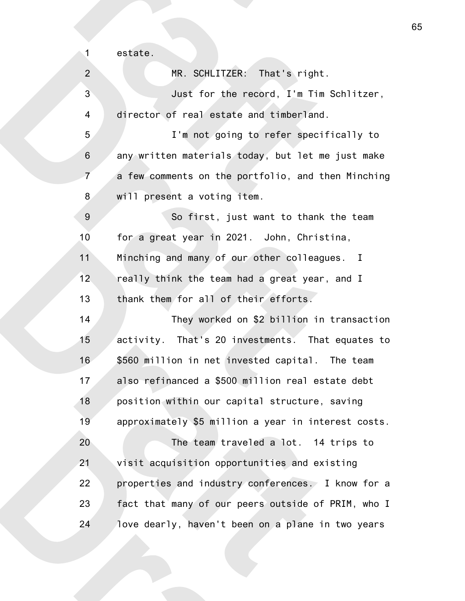estate.

1

| $\overline{2}$   | MR. SCHLITZER: That's right.                        |
|------------------|-----------------------------------------------------|
| 3                | Just for the record, I'm Tim Schlitzer,             |
| $\overline{4}$   | director of real estate and timberland.             |
| 5                | I'm not going to refer specifically to              |
| $\,$ 6 $\,$      | any written materials today, but let me just make   |
| $\overline{7}$   | a few comments on the portfolio, and then Minching  |
| 8                | will present a voting item.                         |
| $\boldsymbol{9}$ | So first, just want to thank the team               |
| 10               | for a great year in 2021. John, Christina,          |
| 11               | Minching and many of our other colleagues. I        |
| 12               | really think the team had a great year, and I       |
| 13               | thank them for all of their efforts.                |
| 14               | They worked on \$2 billion in transaction           |
| 15               | activity. That's 20 investments. That equates to    |
| 16               | \$560 million in net invested capital. The team     |
| 17               | also refinanced a \$500 million real estate debt    |
| 18               | position within our capital structure, saving       |
| 19               | approximately \$5 million a year in interest costs. |
| 20               | The team traveled a lot. 14 trips to                |
| 21               | visit acquisition opportunities and existing        |
| 22               | properties and industry conferences. I know for a   |
| 23               | fact that many of our peers outside of PRIM, who I  |
| 24               | love dearly, haven't been on a plane in two years   |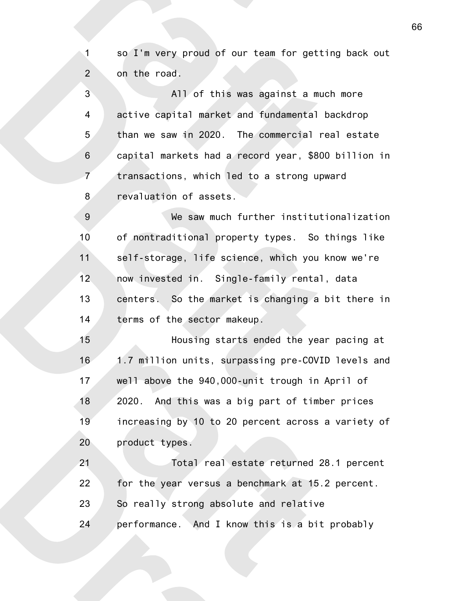so I'm very proud of our team for getting back out on the road. 1 2

All of this was against a much more active capital market and fundamental backdrop than we saw in 2020. The commercial real estate capital markets had a record year, \$800 billion in transactions, which led to a strong upward revaluation of assets. 3 4 5 6 7 8

We saw much further institutionalization of nontraditional property types. So things like self-storage, life science, which you know we're now invested in. Single-family rental, data centers. So the market is changing a bit there in terms of the sector makeup. 9 10 11 12 13 14

Housing starts ended the year pacing at 1.7 million units, surpassing pre-COVID levels and well above the 940,000-unit trough in April of 2020. And this was a big part of timber prices increasing by 10 to 20 percent across a variety of product types. 15 16 17 18 19 20

Total real estate returned 28.1 percent for the year versus a benchmark at 15.2 percent. So really strong absolute and relative performance. And I know this is a bit probably 21 22 23 24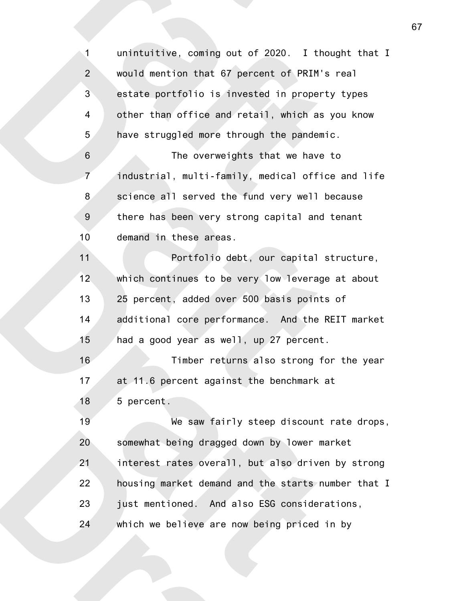unintuitive, coming out of 2020. I thought that I would mention that 67 percent of PRIM's real estate portfolio is invested in property types other than office and retail, which as you know have struggled more through the pandemic. The overweights that we have to industrial, multi-family, medical office and life science all served the fund very well because there has been very strong capital and tenant demand in these areas. Portfolio debt, our capital structure, which continues to be very low leverage at about 25 percent, added over 500 basis points of additional core performance. And the REIT market had a good year as well, up 27 percent. Timber returns also strong for the year at 11.6 percent against the benchmark at 5 percent. We saw fairly steep discount rate drops, somewhat being dragged down by lower market interest rates overall, but also driven by strong housing market demand and the starts number that I just mentioned. And also ESG considerations, which we believe are now being priced in by 1 2 3 4 5 6 7 8 9 10 11 12 13 14 15 16 17 18 19 20 21 22 23 24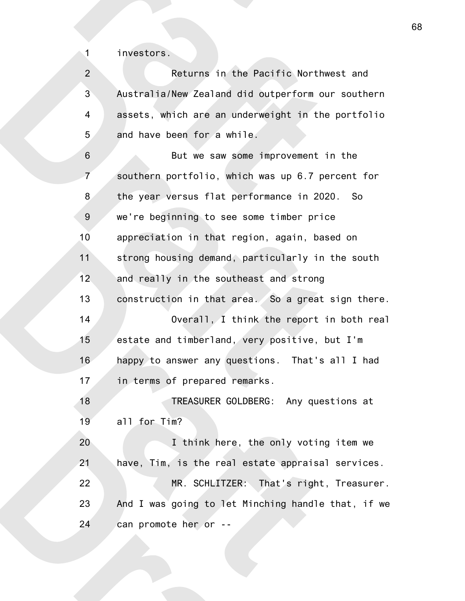investors.

1

Returns in the Pacific Northwest and Australia/New Zealand did outperform our southern assets, which are an underweight in the portfolio and have been for a while. 2 3 4 5

But we saw some improvement in the southern portfolio, which was up 6.7 percent for the year versus flat performance in 2020. So we're beginning to see some timber price appreciation in that region, again, based on strong housing demand, particularly in the south and really in the southeast and strong construction in that area. So a great sign there. Overall, I think the report in both real estate and timberland, very positive, but I'm happy to answer any questions. That's all I had in terms of prepared remarks. TREASURER GOLDBERG: Any questions at all for Tim? I think here, the only voting item we have, Tim, is the real estate appraisal services. MR. SCHLITZER: That's right, Treasurer. And I was going to let Minching handle that, if we 6 7 8 9 10 11 12 13 14 15 16 17 18 19 20 21 22 23

can promote her or --

24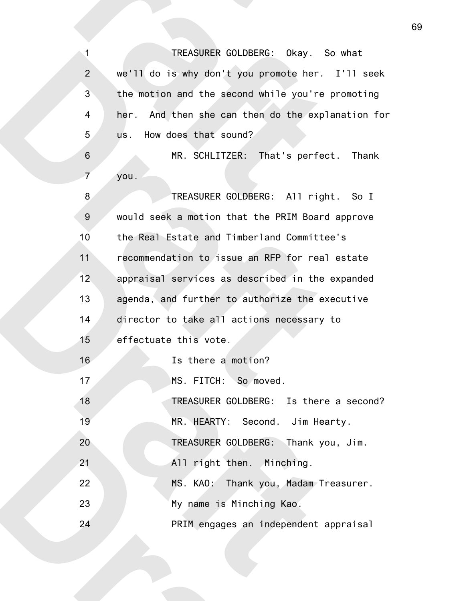TREASURER GOLDBERG: Okay. So what we'll do is why don't you promote her. I'll seek the motion and the second while you're promoting her. And then she can then do the explanation for us. How does that sound? 1 2 3 4 5

MR. SCHLITZER: That's perfect. Thank you. 6 7

TREASURER GOLDBERG: All right. So I would seek a motion that the PRIM Board approve the Real Estate and Timberland Committee's recommendation to issue an RFP for real estate appraisal services as described in the expanded agenda, and further to authorize the executive director to take all actions necessary to effectuate this vote. Is there a motion? MS. FITCH: So moved. TREASURER GOLDBERG: Is there a second? MR. HEARTY: Second. Jim Hearty. TREASURER GOLDBERG: Thank you, Jim. All right then. Minching. MS. KAO: Thank you, Madam Treasurer. My name is Minching Kao. PRIM engages an independent appraisal 8 9 10 11 12 13 14 15 16 17 18 19 20 21 22 23 24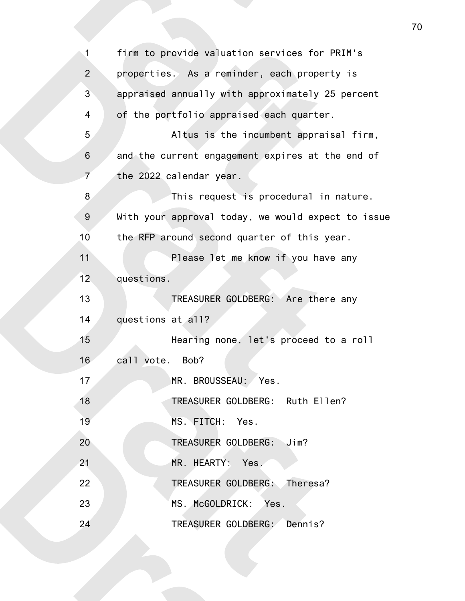| 1              | firm to provide valuation services for PRIM's      |
|----------------|----------------------------------------------------|
| $\overline{2}$ | properties. As a reminder, each property is        |
| $\mathbf{3}$   | appraised annually with approximately 25 percent   |
| $\overline{4}$ | of the portfolio appraised each quarter.           |
| 5              | Altus is the incumbent appraisal firm,             |
| $\,$ 6 $\,$    | and the current engagement expires at the end of   |
| $\overline{7}$ | the 2022 calendar year.                            |
| 8              | This request is procedural in nature.              |
| 9              | With your approval today, we would expect to issue |
| 10             | the RFP around second quarter of this year.        |
| 11             | Please let me know if you have any                 |
| 12             | questions.                                         |
| 13             | TREASURER GOLDBERG: Are there any                  |
| 14             | questions at all?                                  |
| 15             | Hearing none, let's proceed to a roll              |
| 16             | call vote. Bob?                                    |
| 17             | MR. BROUSSEAU:<br>Yes.                             |
| 18             | TREASURER GOLDBERG: Ruth Ellen?                    |
| 19             | MS. FITCH: Yes.                                    |
| 20             | TREASURER GOLDBERG: Jim?                           |
| 21             | MR. HEARTY: Yes.                                   |
| 22             | TREASURER GOLDBERG: Theresa?                       |
| 23             | MS. McGOLDRICK: Yes.                               |
| 24             | TREASURER GOLDBERG: Dennis?                        |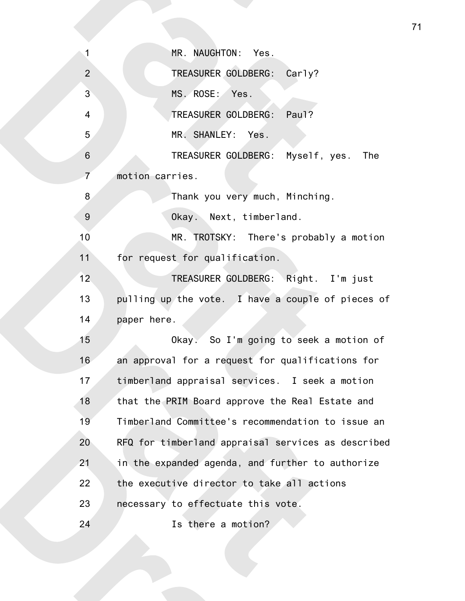| 1                        | MR. NAUGHTON: Yes.                                 |
|--------------------------|----------------------------------------------------|
| $\overline{2}$           | TREASURER GOLDBERG: Carly?                         |
| $\overline{3}$           | MS. ROSE: Yes.                                     |
| $\overline{\mathcal{A}}$ | TREASURER GOLDBERG: Paul?                          |
| 5                        | MR. SHANLEY: Yes.                                  |
| $\,6\,$                  | TREASURER GOLDBERG: Myself, yes. The               |
| $\overline{7}$           | motion carries.                                    |
| 8                        | Thank you very much, Minching.                     |
| $\boldsymbol{9}$         | Okay. Next, timberland.                            |
| 10                       | MR. TROTSKY: There's probably a motion             |
| 11                       | for request for qualification.                     |
| 12 <sub>2</sub>          | TREASURER GOLDBERG: Right. I'm just                |
| 13                       | pulling up the vote. I have a couple of pieces of  |
| 14                       | paper here.                                        |
| 15                       | Okay. So I'm going to seek a motion of             |
| 16                       | an approval for a request for qualifications for   |
| 17                       | timberland appraisal services. I seek a motion     |
| 18                       | that the PRIM Board approve the Real Estate and    |
| 19                       | Timberland Committee's recommendation to issue an  |
| 20                       | RFQ for timberland appraisal services as described |
| 21                       | in the expanded agenda, and further to authorize   |
| 22                       | the executive director to take all actions         |
| 23                       | necessary to effectuate this vote.                 |
| 24                       | Is there a motion?                                 |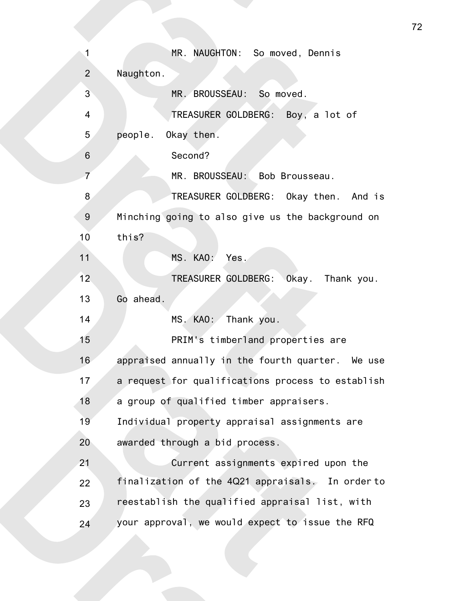MR. NAUGHTON: So moved, Dennis Naughton. MR. BROUSSEAU: So moved. TREASURER GOLDBERG: Boy, a lot of people. Okay then. Second? MR. BROUSSEAU: Bob Brousseau. TREASURER GOLDBERG: Okay then. And is Minching going to also give us the background on this? MS. KAO: Yes. TREASURER GOLDBERG: Okay. Thank you. Go ahead. MS. KAO: Thank you. PRIM's timberland properties are appraised annually in the fourth quarter. We use a request for qualifications process to establish a group of qualified timber appraisers. Individual property appraisal assignments are awarded through a bid process. Current assignments expired upon the finalization of the 4Q21 appraisals. In order to reestablish the qualified appraisal list, with your approval, we would expect to issue the RFQ 1 2 3 4 5 6 7 8 9 10 11 12 13 14 15 16 17 18 19 20 21 22 23 24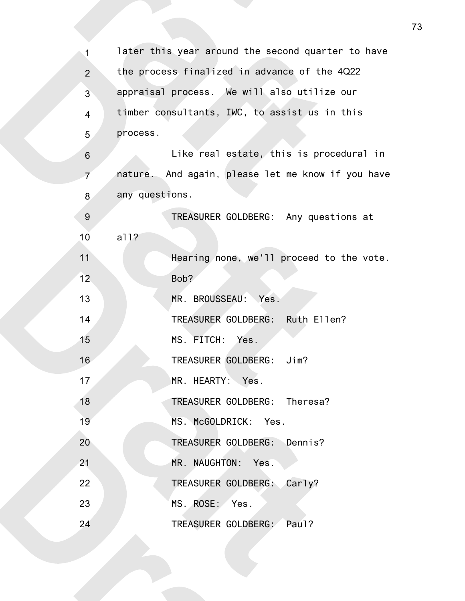| $\mathbf{1}$     | later this year around the second quarter to have |
|------------------|---------------------------------------------------|
| $\overline{2}$   | the process finalized in advance of the 4Q22      |
| 3                | appraisal process. We will also utilize our       |
| 4                | timber consultants, IWC, to assist us in this     |
| 5                | process.                                          |
| $\,6\,$          | Like real estate, this is procedural in           |
| $\overline{7}$   | nature. And again, please let me know if you have |
| 8                | any questions.                                    |
| $\boldsymbol{9}$ | TREASURER GOLDBERG: Any questions at              |
| 10               | a11?                                              |
| 11               | Hearing none, we'll proceed to the vote.          |
| 12               | Bob?                                              |
| 13               | MR. BROUSSEAU: Yes.                               |
| 14               | TREASURER GOLDBERG: Ruth Ellen?                   |
| 15               | MS. FITCH: Yes.                                   |
| 16               | TREASURER GOLDBERG: Jim?                          |
| 17               | MR. HEARTY: Yes.                                  |
| 18               | TREASURER GOLDBERG: Theresa?                      |
| 19               | MS. McGOLDRICK: Yes.                              |
| 20               | TREASURER GOLDBERG: Dennis?                       |
| 21               | MR. NAUGHTON: Yes.                                |
| 22               | TREASURER GOLDBERG: Carly?                        |
| 23               | MS. ROSE: Yes.                                    |
| 24               | TREASURER GOLDBERG: Paul?                         |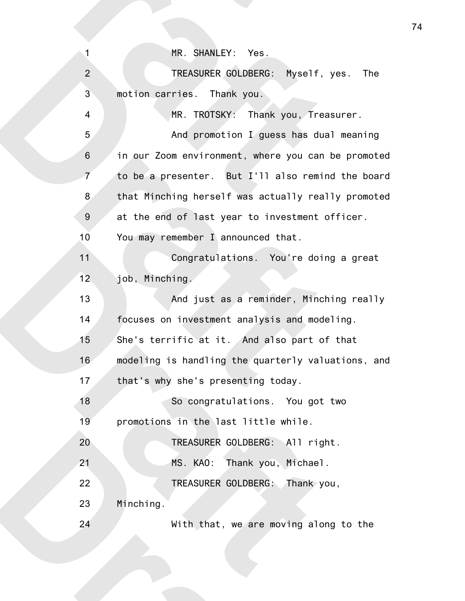MR. SHANLEY: Yes.

1

4

24

TREASURER GOLDBERG: Myself, yes. The motion carries. Thank you. 2 3

MR. TROTSKY: Thank you, Treasurer. And promotion I guess has dual meaning in our Zoom environment, where you can be promoted to be a presenter. But I'll also remind the board that Minching herself was actually really promoted at the end of last year to investment officer. You may remember I announced that. 5 6 7 8 9 10

Congratulations. You're doing a great job, Minching. 11 12

And just as a reminder, Minching really focuses on investment analysis and modeling. She's terrific at it. And also part of that modeling is handling the quarterly valuations, and that's why she's presenting today. 13 14 15 16 17

So congratulations. You got two promotions in the last little while. 18 19

TREASURER GOLDBERG: All right. MS. KAO: Thank you, Michael. TREASURER GOLDBERG: Thank you, Minching. 20 21 22 23

With that, we are moving along to the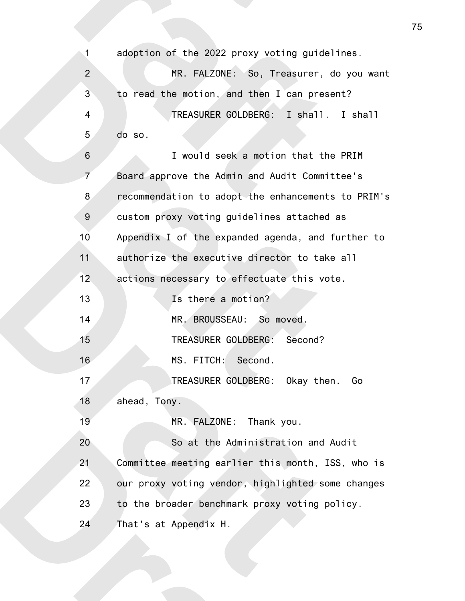adoption of the 2022 proxy voting guidelines. MR. FALZONE: So, Treasurer, do you want to read the motion, and then I can present? TREASURER GOLDBERG: I shall. I shall do so. I would seek a motion that the PRIM Board approve the Admin and Audit Committee's recommendation to adopt the enhancements to PRIM's custom proxy voting guidelines attached as Appendix I of the expanded agenda, and further to authorize the executive director to take all actions necessary to effectuate this vote. Is there a motion? MR. BROUSSEAU: So moved. TREASURER GOLDBERG: Second? MS. FITCH: Second. TREASURER GOLDBERG: Okay then. Go ahead, Tony. MR. FALZONE: Thank you. So at the Administration and Audit Committee meeting earlier this month, ISS, who is our proxy voting vendor, highlighted some changes to the broader benchmark proxy voting policy. That's at Appendix H. 1 2 3 4 5 6 7 8 9 10 11 12 13 14 15 16 17 18 19 20 21 22 23 24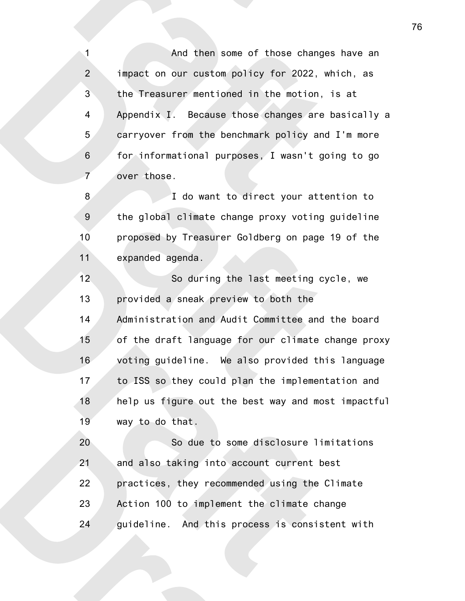And then some of those changes have an impact on our custom policy for 2022, which, as the Treasurer mentioned in the motion, is at Appendix I. Because those changes are basically a carryover from the benchmark policy and I'm more for informational purposes, I wasn't going to go over those. 1 2 3 4 5 6 7

I do want to direct your attention to the global climate change proxy voting guideline proposed by Treasurer Goldberg on page 19 of the expanded agenda. 8 9 10 11

So during the last meeting cycle, we provided a sneak preview to both the Administration and Audit Committee and the board of the draft language for our climate change proxy voting guideline. We also provided this language to ISS so they could plan the implementation and help us figure out the best way and most impactful way to do that. 12 13 14 15 16 17 18 19

So due to some disclosure limitations and also taking into account current best practices, they recommended using the Climate Action 100 to implement the climate change guideline. And this process is consistent with 20 21 22 23 24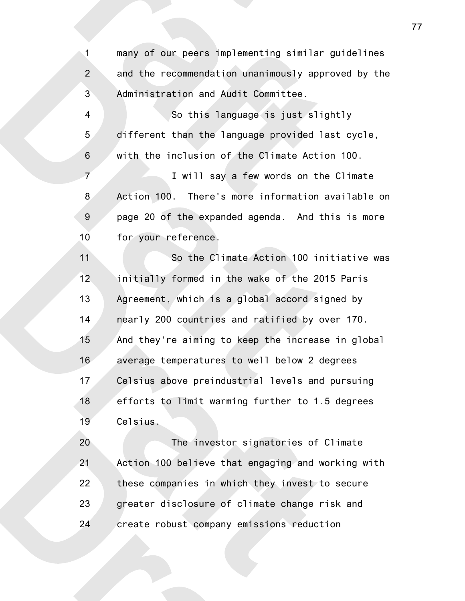many of our peers implementing similar guidelines and the recommendation unanimously approved by the Administration and Audit Committee. 1 2 3

So this language is just slightly different than the language provided last cycle, with the inclusion of the Climate Action 100. 4 5 6

I will say a few words on the Climate Action 100. There's more information available on page 20 of the expanded agenda. And this is more for your reference. 7 8 9 10

So the Climate Action 100 initiative was initially formed in the wake of the 2015 Paris Agreement, which is a global accord signed by nearly 200 countries and ratified by over 170. And they're aiming to keep the increase in global average temperatures to well below 2 degrees Celsius above preindustrial levels and pursuing efforts to limit warming further to 1.5 degrees Celsius. 11 12 13 14 15 16 17 18 19

The investor signatories of Climate Action 100 believe that engaging and working with these companies in which they invest to secure greater disclosure of climate change risk and create robust company emissions reduction 20 21 22 23 24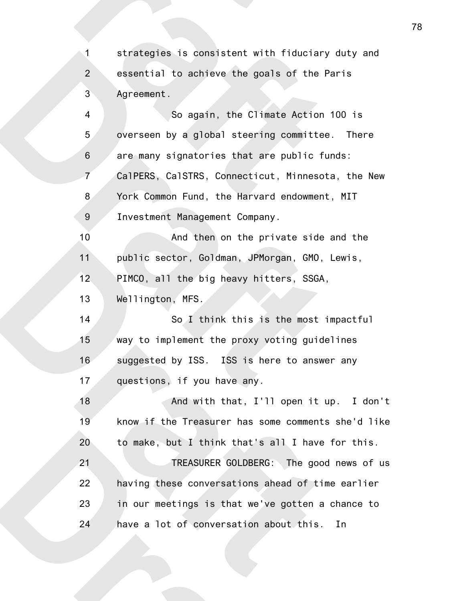strategies is consistent with fiduciary duty and essential to achieve the goals of the Paris Agreement. 1 2 3

So again, the Climate Action 100 is overseen by a global steering committee. There are many signatories that are public funds: CalPERS, CalSTRS, Connecticut, Minnesota, the New York Common Fund, the Harvard endowment, MIT Investment Management Company. 4 5 6 7 8 9

And then on the private side and the public sector, Goldman, JPMorgan, GMO, Lewis, PIMCO, all the big heavy hitters, SSGA, 10 11 12

Wellington, MFS. 13

So I think this is the most impactful way to implement the proxy voting guidelines suggested by ISS. ISS is here to answer any questions, if you have any. 14 15 16 17

And with that, I'll open it up. I don't know if the Treasurer has some comments she'd like to make, but I think that's all I have for this. TREASURER GOLDBERG: The good news of us having these conversations ahead of time earlier 18 19 20 21 22

in our meetings is that we've gotten a chance to have a lot of conversation about this. In 23 24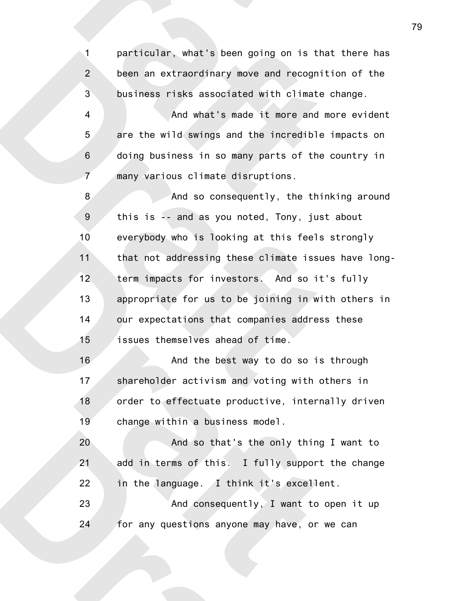particular, what's been going on is that there has been an extraordinary move and recognition of the business risks associated with climate change. 1 2 3

And what's made it more and more evident are the wild swings and the incredible impacts on doing business in so many parts of the country in many various climate disruptions. 4 5 6 7

And so consequently, the thinking around this is -- and as you noted, Tony, just about everybody who is looking at this feels strongly that not addressing these climate issues have longterm impacts for investors. And so it's fully appropriate for us to be joining in with others in our expectations that companies address these issues themselves ahead of time. 8 9 10 11 12 13 14 15

And the best way to do so is through shareholder activism and voting with others in order to effectuate productive, internally driven change within a business model. 16 17 18 19

And so that's the only thing I want to add in terms of this. I fully support the change in the language. I think it's excellent. And consequently, I want to open it up 20 21 22 23

for any questions anyone may have, or we can 24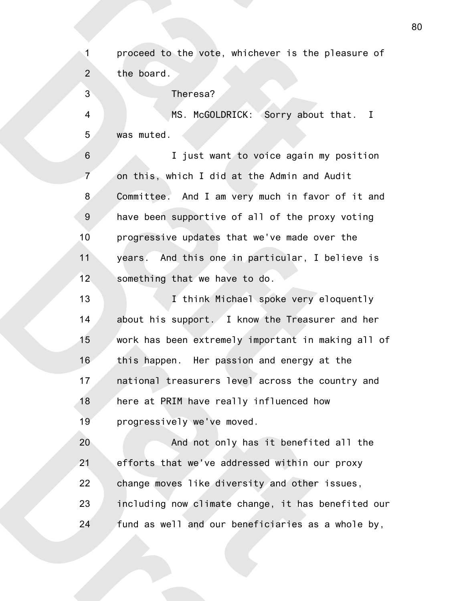proceed to the vote, whichever is the pleasure of the board. 1 2

Theresa? MS. McGOLDRICK: Sorry about that. I was muted. I just want to voice again my position on this, which I did at the Admin and Audit Committee. And I am very much in favor of it and have been supportive of all of the proxy voting progressive updates that we've made over the years. And this one in particular, I believe is something that we have to do. I think Michael spoke very eloquently about his support. I know the Treasurer and her work has been extremely important in making all of this happen. Her passion and energy at the national treasurers level across the country and here at PRIM have really influenced how progressively we've moved. And not only has it benefited all the efforts that we've addressed within our proxy change moves like diversity and other issues, including now climate change, it has benefited our 3 4 5 6 7 8 9 10 11 12 13 14 15 16 17 18 19 20 21 22 23

fund as well and our beneficiaries as a whole by, 24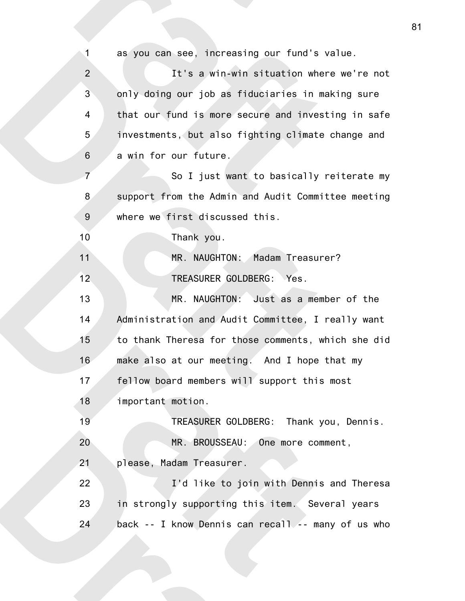as you can see, increasing our fund's value. It's a win-win situation where we're not only doing our job as fiduciaries in making sure that our fund is more secure and investing in safe investments, but also fighting climate change and a win for our future. So I just want to basically reiterate my support from the Admin and Audit Committee meeting where we first discussed this. Thank you. MR. NAUGHTON: Madam Treasurer? TREASURER GOLDBERG: Yes. MR. NAUGHTON: Just as a member of the Administration and Audit Committee, I really want to thank Theresa for those comments, which she did make also at our meeting. And I hope that my fellow board members will support this most important motion. TREASURER GOLDBERG: Thank you, Dennis. MR. BROUSSEAU: One more comment, please, Madam Treasurer. I'd like to join with Dennis and Theresa in strongly supporting this item. Several years back -- I know Dennis can recall -- many of us who 1 2 3 4 5 6 7 8 9 10 11 12 13 14 15 16 17 18 19 20 21 22 23 24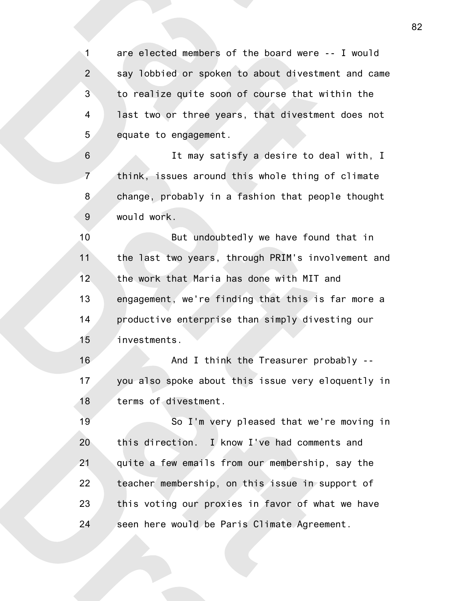are elected members of the board were -- I would say lobbied or spoken to about divestment and came to realize quite soon of course that within the last two or three years, that divestment does not equate to engagement. 1 2 3 4 5

It may satisfy a desire to deal with, I think, issues around this whole thing of climate change, probably in a fashion that people thought would work. 6 7 8 9

But undoubtedly we have found that in the last two years, through PRIM's involvement and the work that Maria has done with MIT and engagement, we're finding that this is far more a productive enterprise than simply divesting our investments. 10 11 12 13 14 15

And I think the Treasurer probably - you also spoke about this issue very eloquently in terms of divestment. 16 17 18

So I'm very pleased that we're moving in this direction. I know I've had comments and quite a few emails from our membership, say the teacher membership, on this issue in support of this voting our proxies in favor of what we have seen here would be Paris Climate Agreement. 19 20 21 22 23 24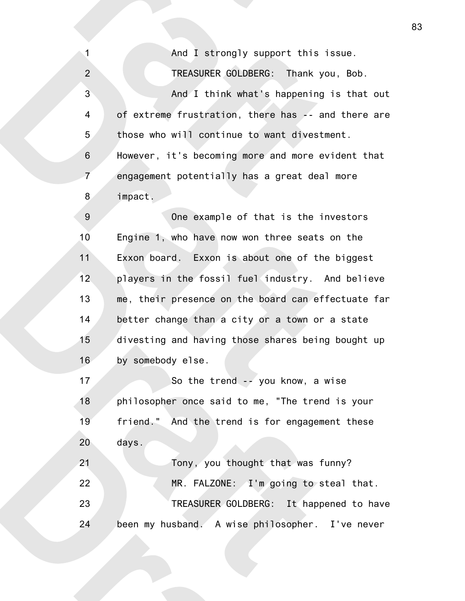And I strongly support this issue.

TREASURER GOLDBERG: Thank you, Bob. And I think what's happening is that out of extreme frustration, there has -- and there are those who will continue to want divestment. However, it's becoming more and more evident that engagement potentially has a great deal more 2 3 4 5 6 7

impact. 8

1

One example of that is the investors Engine 1, who have now won three seats on the Exxon board. Exxon is about one of the biggest players in the fossil fuel industry. And believe me, their presence on the board can effectuate far better change than a city or a town or a state divesting and having those shares being bought up by somebody else. 9 10 11 12 13 14 15 16

So the trend -- you know, a wise philosopher once said to me, "The trend is your friend." And the trend is for engagement these days. Tony, you thought that was funny? 17 18 19 20 21

MR. FALZONE:  $\Lambda$ I'm going to steal that. TREASURER GOLDBERG: It happened to have been my husband. A wise philosopher. I've never 22 23 24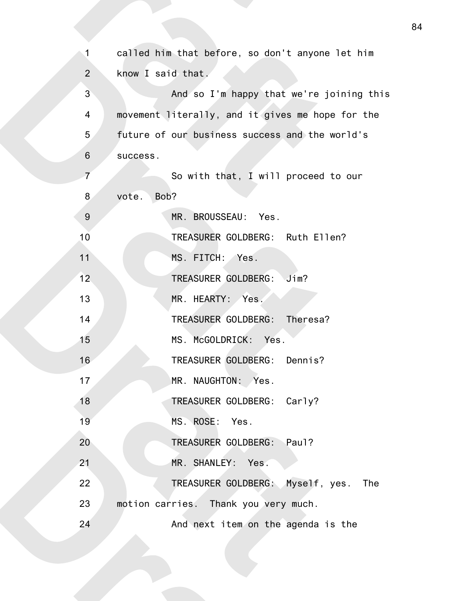| 1               | called him that before, so don't anyone let him  |
|-----------------|--------------------------------------------------|
| $\overline{2}$  | know I said that.                                |
| 3               | And so I'm happy that we're joining this         |
| 4               | movement literally, and it gives me hope for the |
| 5               | future of our business success and the world's   |
| $\,6$           | success.                                         |
| $\overline{7}$  | So with that, I will proceed to our              |
| 8               | Bob?<br>vote.                                    |
| $\overline{9}$  | MR. BROUSSEAU: Yes.                              |
| 10              | TREASURER GOLDBERG: Ruth Ellen?                  |
| 11              | MS. FITCH: Yes.                                  |
| 12 <sub>2</sub> | TREASURER GOLDBERG: Jim?                         |
| 13              | MR. HEARTY: Yes.                                 |
| 14              | TREASURER GOLDBERG: Theresa?                     |
| 15              | MS. McGOLDRICK: Yes.                             |
| 16              | TREASURER GOLDBERG: Dennis?                      |
| 17              | MR. NAUGHTON: Yes.                               |
| 18              | TREASURER GOLDBERG: Carly?                       |
| 19              | MS. ROSE: Yes.                                   |
| 20              | TREASURER GOLDBERG: Paul?                        |
| 21              | MR. SHANLEY: Yes.                                |
| 22              | TREASURER GOLDBERG: Myself, yes. The             |
| 23              | motion carries. Thank you very much.             |
| 24              | And next item on the agenda is the               |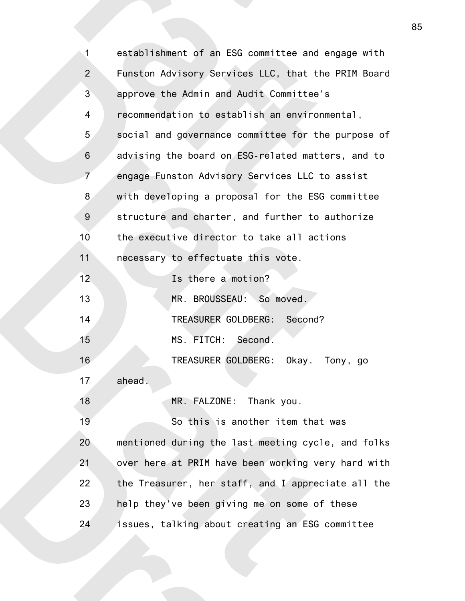| 1              | establishment of an ESG committee and engage with  |
|----------------|----------------------------------------------------|
| $\overline{2}$ | Funston Advisory Services LLC, that the PRIM Board |
| 3              | approve the Admin and Audit Committee's            |
| 4              | recommendation to establish an environmental,      |
| 5              | social and governance committee for the purpose of |
| $\,6$          | advising the board on ESG-related matters, and to  |
| $\overline{7}$ | engage Funston Advisory Services LLC to assist     |
| 8              | with developing a proposal for the ESG committee   |
| 9              | structure and charter, and further to authorize    |
| 10             | the executive director to take all actions         |
| 11             | necessary to effectuate this vote.                 |
| 12             | Is there a motion?                                 |
| 13             | MR. BROUSSEAU: So moved.                           |
| 14             | TREASURER GOLDBERG: Second?                        |
| 15             | MS. FITCH: Second.                                 |
| 16             | TREASURER GOLDBERG: Okay. Tony, go                 |
| 17             | ahead.                                             |
| 18             | MR. FALZONE: Thank you.                            |
| 19             | So this is another item that was                   |
| 20             | mentioned during the last meeting cycle, and folks |
| 21             | over here at PRIM have been working very hard with |
| 22             | the Treasurer, her staff, and I appreciate all the |
| 23             | help they've been giving me on some of these       |
| 24             | issues, talking about creating an ESG committee    |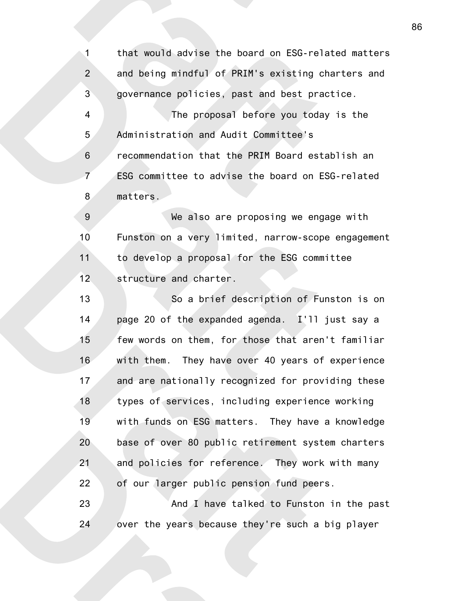that would advise the board on ESG-related matters and being mindful of PRIM's existing charters and governance policies, past and best practice. The proposal before you today is the Administration and Audit Committee's recommendation that the PRIM Board establish an ESG committee to advise the board on ESG-related matters. 1 2 3 4 5 6 7 8

We also are proposing we engage with Funston on a very limited, narrow-scope engagement to develop a proposal for the ESG committee structure and charter. 9 10 11 12

So a brief description of Funston is on page 20 of the expanded agenda. I'll just say a few words on them, for those that aren't familiar with them. They have over 40 years of experience and are nationally recognized for providing these types of services, including experience working with funds on ESG matters. They have a knowledge base of over 80 public retirement system charters and policies for reference. They work with many of our larger public pension fund peers. 13 14 15 16 17 18 19 20 21 22

And I have talked to Funston in the past over the years because they're such a big player 23 24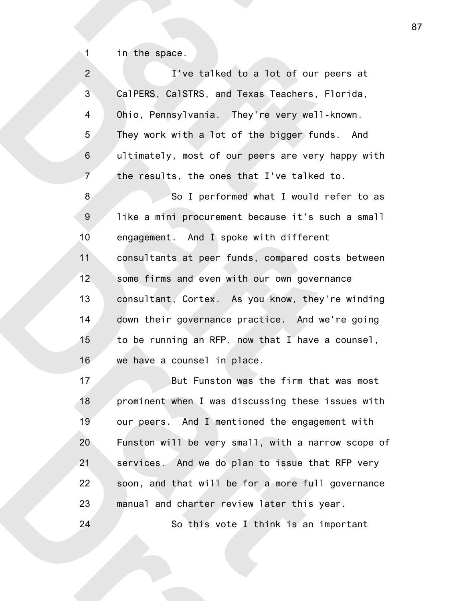in the space.

1

24

| $\overline{2}$   | I've talked to a lot of our peers at               |
|------------------|----------------------------------------------------|
| $\mathbf{3}$     | CalPERS, CalSTRS, and Texas Teachers, Florida,     |
| $\overline{4}$   | Ohio, Pennsylvania. They're very well-known.       |
| 5                | They work with a lot of the bigger funds. And      |
| $\,$ 6 $\,$      | ultimately, most of our peers are very happy with  |
| $\overline{7}$   | the results, the ones that I've talked to.         |
| 8                | So I performed what I would refer to as            |
| $\boldsymbol{9}$ | like a mini procurement because it's such a small  |
| 10               | engagement. And I spoke with different             |
| 11               | consultants at peer funds, compared costs between  |
| 12               | some firms and even with our own governance        |
| 13               | consultant, Cortex. As you know, they're winding   |
| 14               | down their governance practice. And we're going    |
| 15               | to be running an RFP, now that I have a counsel,   |
| 16               | we have a counsel in place.                        |
| 17               | But Funston was the firm that was most             |
| 18               | prominent when I was discussing these issues with  |
| 19               | our peers. And I mentioned the engagement with     |
| 20               | Funston will be very small, with a narrow scope of |
| 21               | services. And we do plan to issue that RFP very    |
|                  |                                                    |

soon, and that will be for a more full governance manual and charter review later this year. 22 23

So this vote I think is an important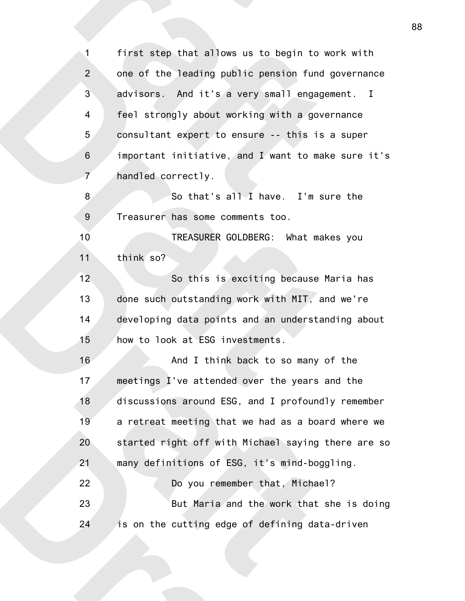first step that allows us to begin to work with one of the leading public pension fund governance advisors. And it's a very small engagement. I feel strongly about working with a governance consultant expert to ensure -- this is a super important initiative, and I want to make sure it's handled correctly. So that's all I have. I'm sure the Treasurer has some comments too. TREASURER GOLDBERG: What makes you think so? So this is exciting because Maria has done such outstanding work with MIT, and we're developing data points and an understanding about how to look at ESG investments. And I think back to so many of the meetings I've attended over the years and the discussions around ESG, and I profoundly remember a retreat meeting that we had as a board where we started right off with Michael saying there are so many definitions of ESG, it's mind-boggling. Do you remember that, Michael? But Maria and the work that she is doing is on the cutting edge of defining data-driven 1 2 3 4 5 6 7 8 9 10 11 12 13 14 15 16 17 18 19 20 21 22 23 24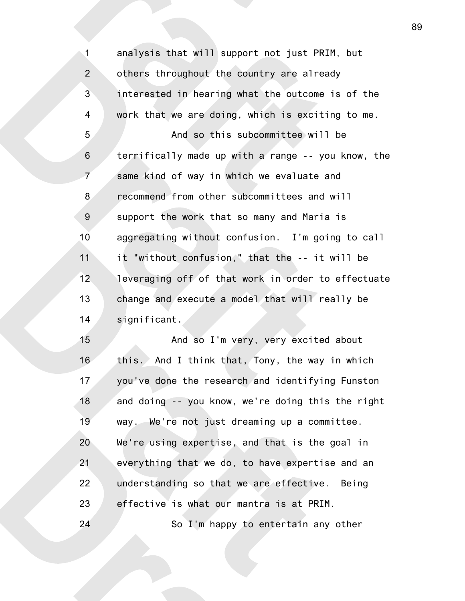analysis that will support not just PRIM, but others throughout the country are already interested in hearing what the outcome is of the work that we are doing, which is exciting to me. And so this subcommittee will be terrifically made up with a range -- you know, the same kind of way in which we evaluate and recommend from other subcommittees and will support the work that so many and Maria is aggregating without confusion. I'm going to call it "without confusion," that the -- it will be leveraging off of that work in order to effectuate change and execute a model that will really be significant. 1 2 3 4 5 6 7 8 9 10 11 12 13 14

And so I'm very, very excited about this. And I think that, Tony, the way in which you've done the research and identifying Funston and doing -- you know, we're doing this the right way. We're not just dreaming up a committee. We're using expertise, and that is the goal in everything that we do, to have expertise and an understanding so that we are effective. Being effective is what our mantra is at PRIM. So I'm happy to entertain any other 15 16 17 18 19 20 21 22 23 24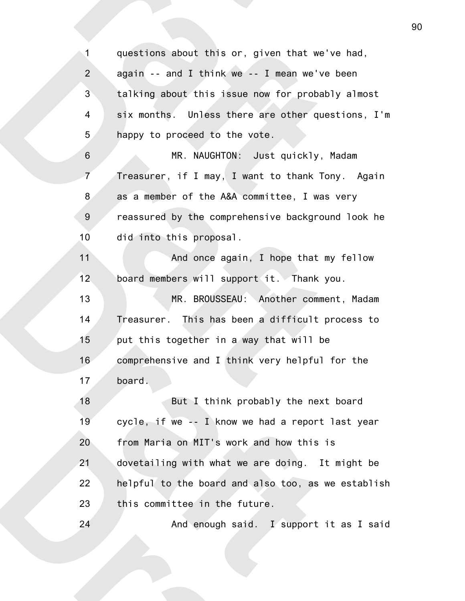questions about this or, given that we've had, again -- and I think we -- I mean we've been talking about this issue now for probably almost six months. Unless there are other questions, I'm happy to proceed to the vote. MR. NAUGHTON: Just quickly, Madam Treasurer, if I may, I want to thank Tony. Again as a member of the A&A committee, I was very reassured by the comprehensive background look he did into this proposal. And once again, I hope that my fellow board members will support it. Thank you. MR. BROUSSEAU: Another comment, Madam Treasurer. This has been a difficult process to put this together in a way that will be comprehensive and I think very helpful for the board. But I think probably the next board cycle, if we -- I know we had a report last year from Maria on MIT's work and how this is dovetailing with what we are doing. It might be helpful to the board and also too, as we establish this committee in the future. And enough said. I support it as I said 1 2 3 4 5 6 7 8 9 10 11 12 13 14 15 16 17 18 19 20 21 22 23 24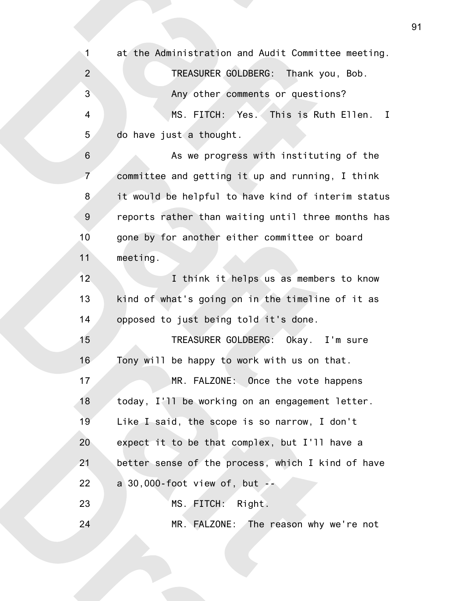at the Administration and Audit Committee meeting. TREASURER GOLDBERG: Thank you, Bob. Any other comments or questions? MS. FITCH: Yes. This is Ruth Ellen. I do have just a thought. As we progress with instituting of the committee and getting it up and running, I think it would be helpful to have kind of interim status reports rather than waiting until three months has gone by for another either committee or board meeting. I think it helps us as members to know kind of what's going on in the timeline of it as opposed to just being told it's done. TREASURER GOLDBERG: Okay. I'm sure Tony will be happy to work with us on that. MR. FALZONE: Once the vote happens today, I'll be working on an engagement letter. Like I said, the scope is so narrow, I don't expect it to be that complex, but I'll have a better sense of the process, which I kind of have a  $30,000$ -foot view of, but  $-$ MS. FITCH: Right. MR. FALZONE: The reason why we're not 1 2 3 4 5 6 7 8 9 10 11 12 13 14 15 16 17 18 19 20 21 22 23 24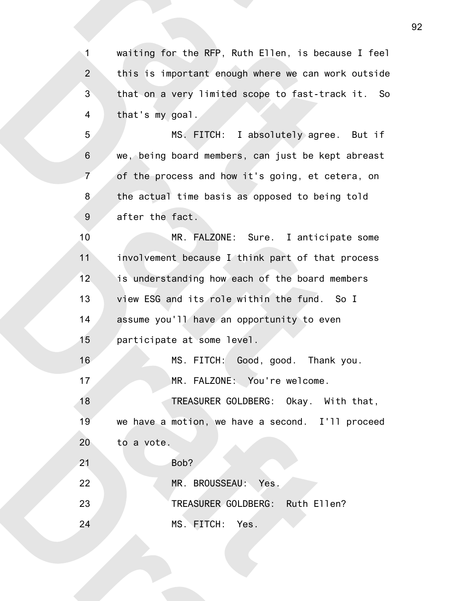waiting for the RFP, Ruth Ellen, is because I feel this is important enough where we can work outside that on a very limited scope to fast-track it. So that's my goal. 1 2 3 4

MS. FITCH: I absolutely agree. But if we, being board members, can just be kept abreast of the process and how it's going, et cetera, on the actual time basis as opposed to being told after the fact. 5 6 7 8 9

MR. FALZONE: Sure. I anticipate some involvement because I think part of that process is understanding how each of the board members view ESG and its role within the fund. So I assume you'll have an opportunity to even participate at some level. MS. FITCH: Good, good. Thank you. MR. FALZONE: You're welcome. TREASURER GOLDBERG: Okay. With that, we have a motion, we have a second. I'll proceed to a vote. Bob? MR. BROUSSEAU: Yes. TREASURER GOLDBERG: Ruth Ellen? MS. FITCH: Yes. 10 11 12 13 14 15 16 17 18 19 20 21 22 23 24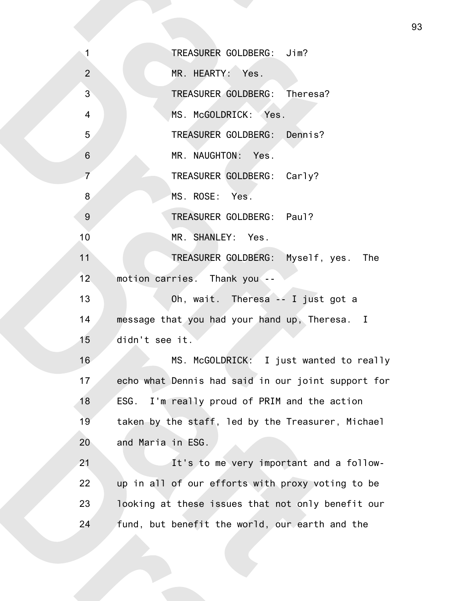TREASURER GOLDBERG: Jim? MR. HEARTY: Yes. TREASURER GOLDBERG: Theresa? MS. McGOLDRICK: Yes. TREASURER GOLDBERG: Dennis? MR. NAUGHTON: Yes. TREASURER GOLDBERG: Carly? MS. ROSE: Yes. TREASURER GOLDBERG: Paul? MR. SHANLEY: Yes. TREASURER GOLDBERG: Myself, yes. The motion carries. Thank you -- Oh, wait. Theresa -- I just got a message that you had your hand up, Theresa. I didn't see it. MS. McGOLDRICK: I just wanted to really echo what Dennis had said in our joint support for ESG. I'm really proud of PRIM and the action taken by the staff, led by the Treasurer, Michael and Maria in ESG. It's to me very important and a followup in all of our efforts with proxy voting to be looking at these issues that not only benefit our fund, but benefit the world, our earth and the 1 2 3 4 5 6 7 8 9 10 11 12 13 14 15 16 17 18 19 20 21 22 23 24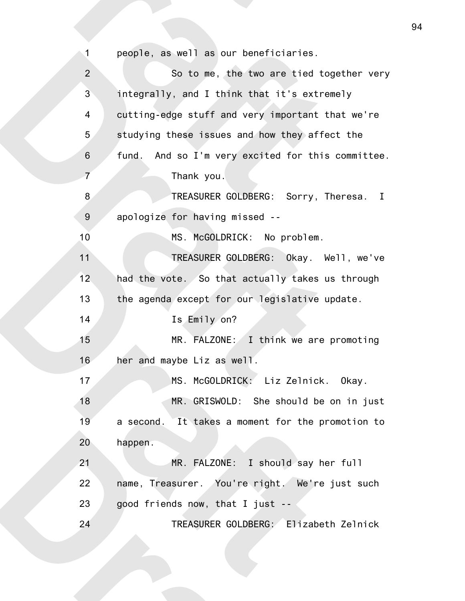people, as well as our beneficiaries. So to me, the two are tied together very integrally, and I think that it's extremely cutting-edge stuff and very important that we're studying these issues and how they affect the fund. And so I'm very excited for this committee. Thank you. TREASURER GOLDBERG: Sorry, Theresa. I apologize for having missed -- MS. McGOLDRICK: No problem. TREASURER GOLDBERG: Okay. Well, we've had the vote. So that actually takes us through the agenda except for our legislative update. Is Emily on? MR. FALZONE: I think we are promoting her and maybe Liz as well. MS. McGOLDRICK: Liz Zelnick. Okay. MR. GRISWOLD: She should be on in just a second. It takes a moment for the promotion to happen. MR. FALZONE: I should say her full name, Treasurer. You're right. We're just such good friends now, that I just -- TREASURER GOLDBERG: Elizabeth Zelnick 1 2 3 4 5 6 7 8 9 10 11 12 13 14 15 16 17 18 19 20 21 22 23 24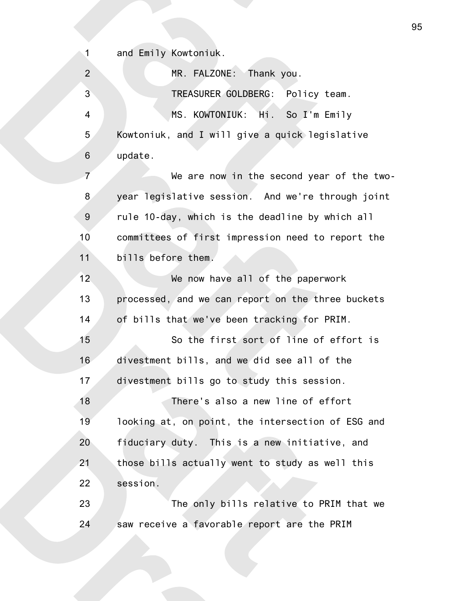and Emily Kowtoniuk.

1

MR. FALZONE: Thank you. TREASURER GOLDBERG: Policy team. MS. KOWTONIUK: Hi. So I'm Emily Kowtoniuk, and I will give a quick legislative update. We are now in the second year of the twoyear legislative session. And we're through joint rule 10-day, which is the deadline by which all committees of first impression need to report the bills before them. We now have all of the paperwork processed, and we can report on the three buckets of bills that we've been tracking for PRIM. So the first sort of line of effort is divestment bills, and we did see all of the divestment bills go to study this session. There's also a new line of effort looking at, on point, the intersection of ESG and fiduciary duty. This is a new initiative, and those bills actually went to study as well this session. The only bills relative to PRIM that we saw receive a favorable report are the PRIM 2 3 4 5 6 7 8 9 10 11 12 13 14 15 16 17 18 19 20 21 22 23 24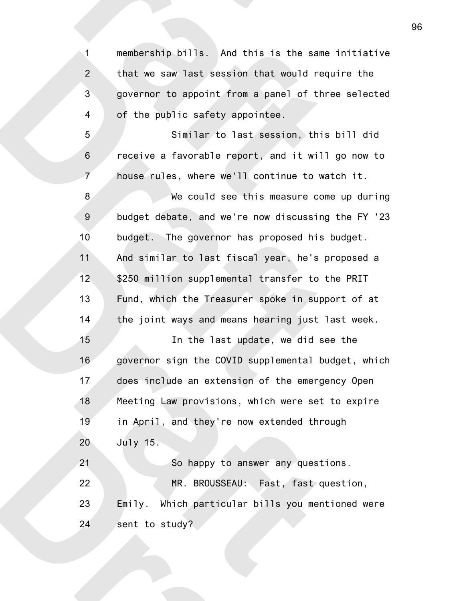membership bills. And this is the same initiative that we saw last session that would require the governor to appoint from a panel of three selected of the public safety appointee. 1 2 3 4

Similar to last session, this bill did receive a favorable report, and it will go now to house rules, where we'll continue to watch it. 5 6 7

We could see this measure come up during budget debate, and we're now discussing the FY '23 budget. The governor has proposed his budget. And similar to last fiscal year, he's proposed a \$250 million supplemental transfer to the PRIT Fund, which the Treasurer spoke in support of at the joint ways and means hearing just last week. 8 9 10 11 12 13 14

In the last update, we did see the governor sign the COVID supplemental budget, which does include an extension of the emergency Open Meeting Law provisions, which were set to expire in April, and they're now extended through July 15. So happy to answer any questions. MR. BROUSSEAU: Fast, fast question, 15 16 17 18 19 20 21 22

Emily. Which particular bills you mentioned were sent to study? 23 24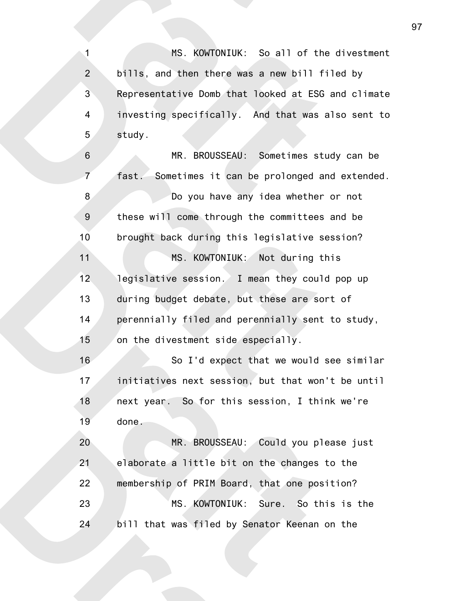MS. KOWTONIUK: So all of the divestment bills, and then there was a new bill filed by Representative Domb that looked at ESG and climate investing specifically. And that was also sent to study. 1 2 3 4 5

MR. BROUSSEAU: Sometimes study can be fast. Sometimes it can be prolonged and extended. Do you have any idea whether or not these will come through the committees and be brought back during this legislative session? MS. KOWTONIUK: Not during this legislative session. I mean they could pop up during budget debate, but these are sort of perennially filed and perennially sent to study, on the divestment side especially. So I'd expect that we would see similar 6 7 8 9 10 11 12 13 14 15 16

initiatives next session, but that won't be until next year. So for this session, I think we're done. 17 18 19

MR. BROUSSEAU: Could you please just elaborate a little bit on the changes to the membership of PRIM Board, that one position? MS. KOWTONIUK: Sure. So this is the bill that was filed by Senator Keenan on the 20 21 22 23 24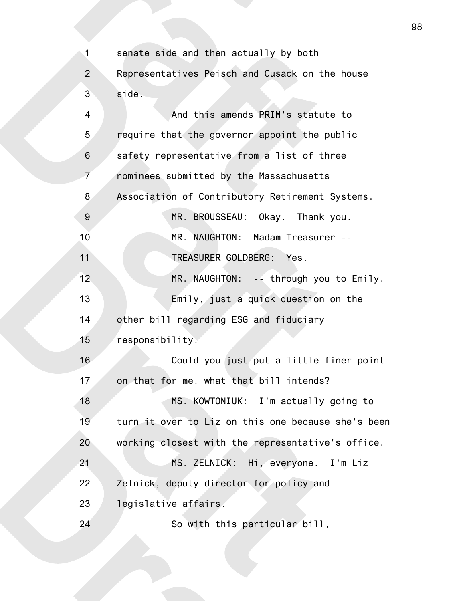senate side and then actually by both Representatives Peisch and Cusack on the house side. And this amends PRIM's statute to require that the governor appoint the public safety representative from a list of three nominees submitted by the Massachusetts Association of Contributory Retirement Systems. MR. BROUSSEAU: Okay. Thank you. MR. NAUGHTON: Madam Treasurer -- TREASURER GOLDBERG: Yes. MR. NAUGHTON: -- through you to Emily. Emily, just a quick question on the other bill regarding ESG and fiduciary responsibility. Could you just put a little finer point on that for me, what that bill intends? MS. KOWTONIUK: I'm actually going to turn it over to Liz on this one because she's been working closest with the representative's office. MS. ZELNICK: Hi, everyone. I'm Liz Zelnick, deputy director for policy and legislative affairs. So with this particular bill, 1 2 3 4 5 6 7 8 9 10 11 12 13 14 15 16 17 18 19 20 21 22 23 24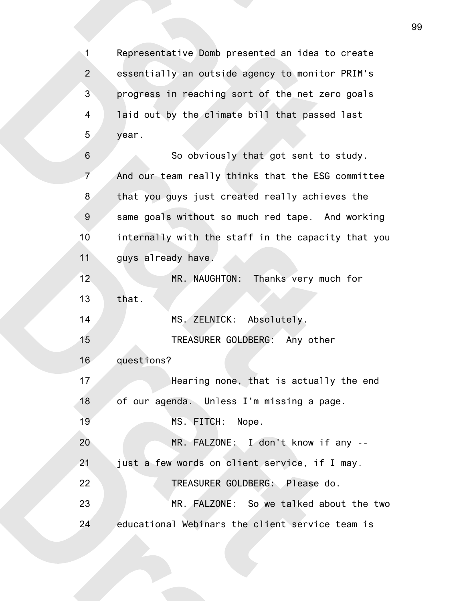Representative Domb presented an idea to create essentially an outside agency to monitor PRIM's progress in reaching sort of the net zero goals laid out by the climate bill that passed last year. 1 2 3 4 5

So obviously that got sent to study. And our team really thinks that the ESG committee that you guys just created really achieves the same goals without so much red tape. And working internally with the staff in the capacity that you guys already have. MR. NAUGHTON: Thanks very much for that. MS. ZELNICK: Absolutely. TREASURER GOLDBERG: Any other questions? Hearing none, that is actually the end of our agenda. Unless I'm missing a page. 6 7 8 9 10 11 12 13 14 15 16 17 18

MS. FITCH: Nope. 19

MR. FALZONE: I don't know if any -- 20

just a few words on client service, if I may. 21

TREASURER GOLDBERG: Please do. 22

MR. FALZONE: So we talked about the two educational Webinars the client service team is 23 24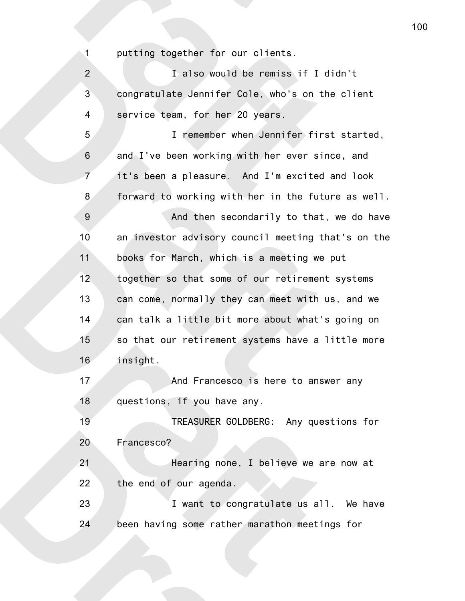putting together for our clients.

1

I also would be remiss if I didn't congratulate Jennifer Cole, who's on the client service team, for her 20 years. I remember when Jennifer first started, and I've been working with her ever since, and it's been a pleasure. And I'm excited and look forward to working with her in the future as well. And then secondarily to that, we do have an investor advisory council meeting that's on the books for March, which is a meeting we put together so that some of our retirement systems can come, normally they can meet with us, and we can talk a little bit more about what's going on so that our retirement systems have a little more insight. And Francesco is here to answer any questions, if you have any. TREASURER GOLDBERG: Any questions for Francesco? Hearing none, I believe we are now at the end of our agenda. I want to congratulate us all. We have been having some rather marathon meetings for 2 3 4 5 6 7 8 9 10 11 12 13 14 15 16 17 18 19 20 21 22 23 24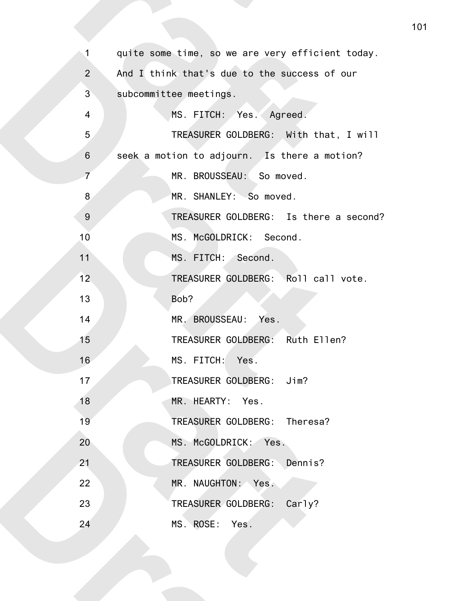| $\mathbf{1}$   | quite some time, so we are very efficient today. |
|----------------|--------------------------------------------------|
| $\overline{2}$ | And I think that's due to the success of our     |
| $\mathbf{3}$   | subcommittee meetings.                           |
| $\overline{4}$ | MS. FITCH: Yes. Agreed.                          |
| 5              | TREASURER GOLDBERG: With that, I will            |
| $\,6\,$        | seek a motion to adjourn. Is there a motion?     |
| $\overline{7}$ | MR. BROUSSEAU: So moved.                         |
| 8              | MR. SHANLEY: So moved.                           |
| $9\,$          | TREASURER GOLDBERG: Is there a second?           |
| 10             | MS. McGOLDRICK: Second.                          |
| 11             | MS. FITCH: Second.                               |
| 12             | TREASURER GOLDBERG: Roll call vote.              |
| 13             | Bob?                                             |
| 14             | MR. BROUSSEAU: Yes.                              |
| 15             | TREASURER GOLDBERG: Ruth Ellen?                  |
| 16             | MS. FITCH: Yes.                                  |
| 17             | TREASURER GOLDBERG: Jim?                         |
| 18             | MR. HEARTY: Yes.                                 |
| 19             | TREASURER GOLDBERG: Theresa?                     |
| 20             | MS. McGOLDRICK: Yes.                             |
| 21             | TREASURER GOLDBERG: Dennis?                      |
| 22             | MR. NAUGHTON: Yes.                               |
| 23             | TREASURER GOLDBERG: Carly?                       |
| 24             | MS. ROSE: Yes.                                   |